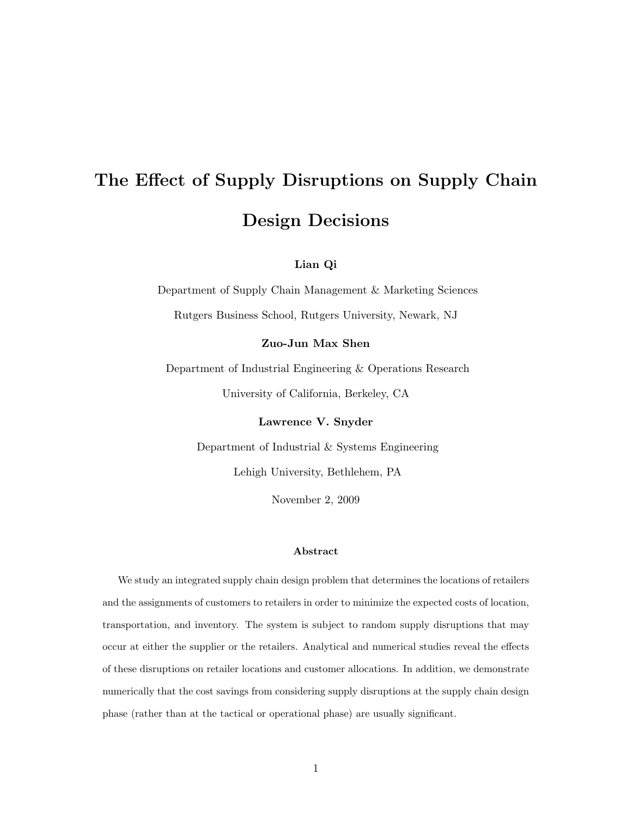# The Effect of Supply Disruptions on Supply Chain Design Decisions

## Lian Qi

Department of Supply Chain Management & Marketing Sciences Rutgers Business School, Rutgers University, Newark, NJ

## Zuo-Jun Max Shen

Department of Industrial Engineering & Operations Research University of California, Berkeley, CA

Lawrence V. Snyder

Department of Industrial & Systems Engineering

Lehigh University, Bethlehem, PA

November 2, 2009

#### Abstract

We study an integrated supply chain design problem that determines the locations of retailers and the assignments of customers to retailers in order to minimize the expected costs of location, transportation, and inventory. The system is subject to random supply disruptions that may occur at either the supplier or the retailers. Analytical and numerical studies reveal the effects of these disruptions on retailer locations and customer allocations. In addition, we demonstrate numerically that the cost savings from considering supply disruptions at the supply chain design phase (rather than at the tactical or operational phase) are usually significant.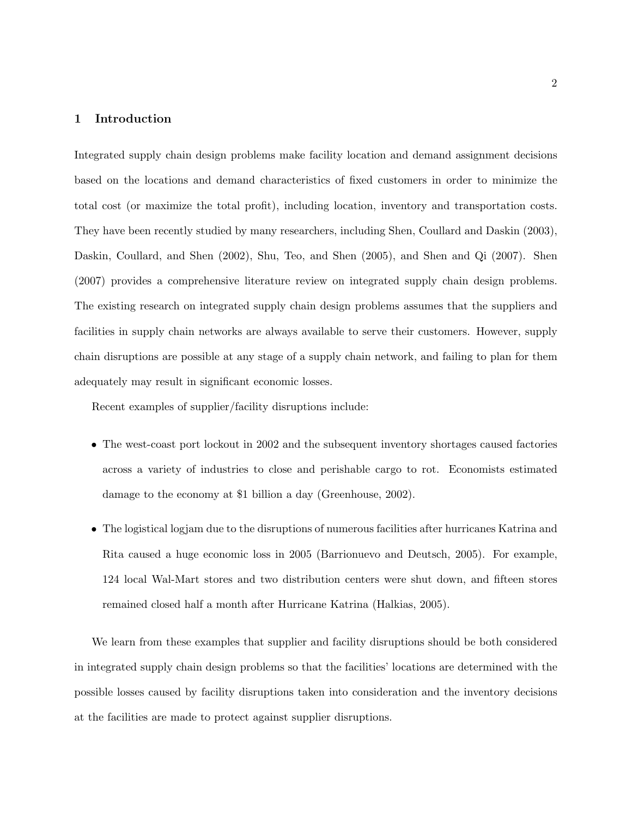## 1 Introduction

Integrated supply chain design problems make facility location and demand assignment decisions based on the locations and demand characteristics of fixed customers in order to minimize the total cost (or maximize the total profit), including location, inventory and transportation costs. They have been recently studied by many researchers, including Shen, Coullard and Daskin (2003), Daskin, Coullard, and Shen (2002), Shu, Teo, and Shen (2005), and Shen and Qi (2007). Shen (2007) provides a comprehensive literature review on integrated supply chain design problems. The existing research on integrated supply chain design problems assumes that the suppliers and facilities in supply chain networks are always available to serve their customers. However, supply chain disruptions are possible at any stage of a supply chain network, and failing to plan for them adequately may result in significant economic losses.

Recent examples of supplier/facility disruptions include:

- The west-coast port lockout in 2002 and the subsequent inventory shortages caused factories across a variety of industries to close and perishable cargo to rot. Economists estimated damage to the economy at \$1 billion a day (Greenhouse, 2002).
- The logistical logjam due to the disruptions of numerous facilities after hurricanes Katrina and Rita caused a huge economic loss in 2005 (Barrionuevo and Deutsch, 2005). For example, 124 local Wal-Mart stores and two distribution centers were shut down, and fifteen stores remained closed half a month after Hurricane Katrina (Halkias, 2005).

We learn from these examples that supplier and facility disruptions should be both considered in integrated supply chain design problems so that the facilities' locations are determined with the possible losses caused by facility disruptions taken into consideration and the inventory decisions at the facilities are made to protect against supplier disruptions.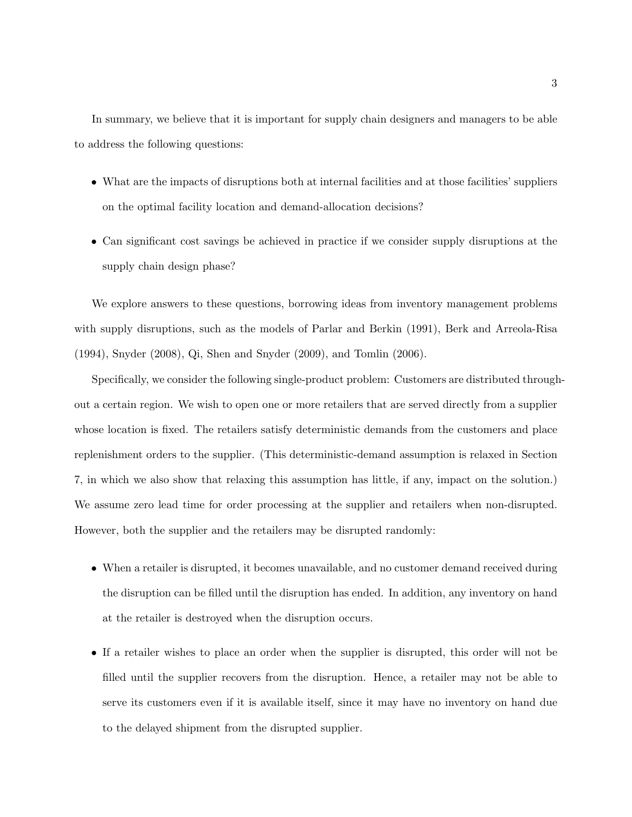In summary, we believe that it is important for supply chain designers and managers to be able to address the following questions:

- What are the impacts of disruptions both at internal facilities and at those facilities' suppliers on the optimal facility location and demand-allocation decisions?
- Can significant cost savings be achieved in practice if we consider supply disruptions at the supply chain design phase?

We explore answers to these questions, borrowing ideas from inventory management problems with supply disruptions, such as the models of Parlar and Berkin (1991), Berk and Arreola-Risa (1994), Snyder (2008), Qi, Shen and Snyder (2009), and Tomlin (2006).

Specifically, we consider the following single-product problem: Customers are distributed throughout a certain region. We wish to open one or more retailers that are served directly from a supplier whose location is fixed. The retailers satisfy deterministic demands from the customers and place replenishment orders to the supplier. (This deterministic-demand assumption is relaxed in Section 7, in which we also show that relaxing this assumption has little, if any, impact on the solution.) We assume zero lead time for order processing at the supplier and retailers when non-disrupted. However, both the supplier and the retailers may be disrupted randomly:

- When a retailer is disrupted, it becomes unavailable, and no customer demand received during the disruption can be filled until the disruption has ended. In addition, any inventory on hand at the retailer is destroyed when the disruption occurs.
- If a retailer wishes to place an order when the supplier is disrupted, this order will not be filled until the supplier recovers from the disruption. Hence, a retailer may not be able to serve its customers even if it is available itself, since it may have no inventory on hand due to the delayed shipment from the disrupted supplier.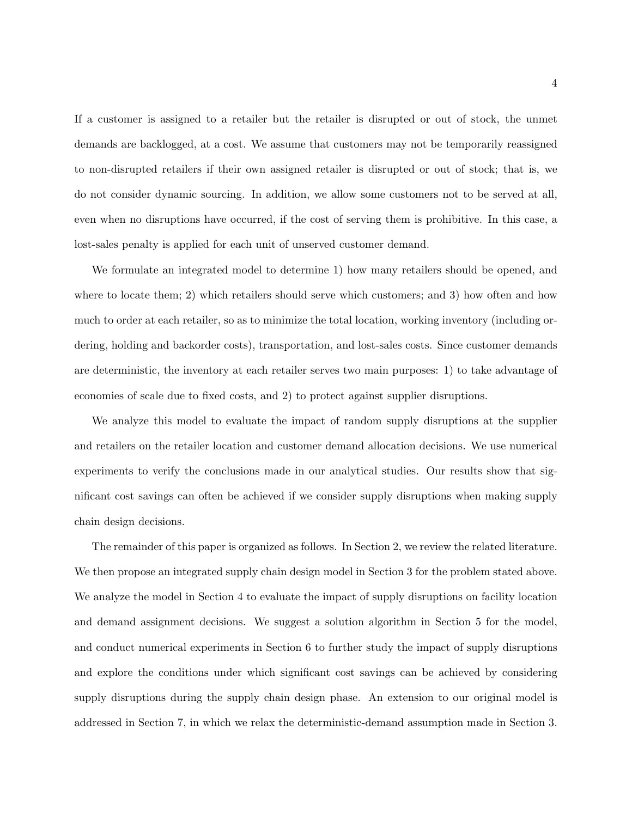If a customer is assigned to a retailer but the retailer is disrupted or out of stock, the unmet demands are backlogged, at a cost. We assume that customers may not be temporarily reassigned to non-disrupted retailers if their own assigned retailer is disrupted or out of stock; that is, we do not consider dynamic sourcing. In addition, we allow some customers not to be served at all, even when no disruptions have occurred, if the cost of serving them is prohibitive. In this case, a lost-sales penalty is applied for each unit of unserved customer demand.

We formulate an integrated model to determine 1) how many retailers should be opened, and where to locate them; 2) which retailers should serve which customers; and 3) how often and how much to order at each retailer, so as to minimize the total location, working inventory (including ordering, holding and backorder costs), transportation, and lost-sales costs. Since customer demands are deterministic, the inventory at each retailer serves two main purposes: 1) to take advantage of economies of scale due to fixed costs, and 2) to protect against supplier disruptions.

We analyze this model to evaluate the impact of random supply disruptions at the supplier and retailers on the retailer location and customer demand allocation decisions. We use numerical experiments to verify the conclusions made in our analytical studies. Our results show that significant cost savings can often be achieved if we consider supply disruptions when making supply chain design decisions.

The remainder of this paper is organized as follows. In Section 2, we review the related literature. We then propose an integrated supply chain design model in Section 3 for the problem stated above. We analyze the model in Section 4 to evaluate the impact of supply disruptions on facility location and demand assignment decisions. We suggest a solution algorithm in Section 5 for the model, and conduct numerical experiments in Section 6 to further study the impact of supply disruptions and explore the conditions under which significant cost savings can be achieved by considering supply disruptions during the supply chain design phase. An extension to our original model is addressed in Section 7, in which we relax the deterministic-demand assumption made in Section 3.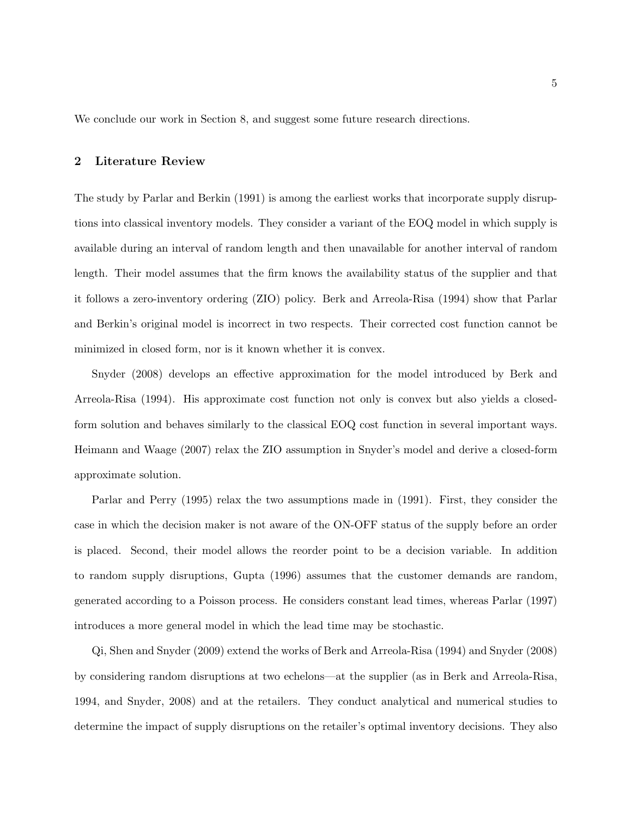We conclude our work in Section 8, and suggest some future research directions.

#### 2 Literature Review

The study by Parlar and Berkin (1991) is among the earliest works that incorporate supply disruptions into classical inventory models. They consider a variant of the EOQ model in which supply is available during an interval of random length and then unavailable for another interval of random length. Their model assumes that the firm knows the availability status of the supplier and that it follows a zero-inventory ordering (ZIO) policy. Berk and Arreola-Risa (1994) show that Parlar and Berkin's original model is incorrect in two respects. Their corrected cost function cannot be minimized in closed form, nor is it known whether it is convex.

Snyder (2008) develops an effective approximation for the model introduced by Berk and Arreola-Risa (1994). His approximate cost function not only is convex but also yields a closedform solution and behaves similarly to the classical EOQ cost function in several important ways. Heimann and Waage (2007) relax the ZIO assumption in Snyder's model and derive a closed-form approximate solution.

Parlar and Perry (1995) relax the two assumptions made in (1991). First, they consider the case in which the decision maker is not aware of the ON-OFF status of the supply before an order is placed. Second, their model allows the reorder point to be a decision variable. In addition to random supply disruptions, Gupta (1996) assumes that the customer demands are random, generated according to a Poisson process. He considers constant lead times, whereas Parlar (1997) introduces a more general model in which the lead time may be stochastic.

Qi, Shen and Snyder (2009) extend the works of Berk and Arreola-Risa (1994) and Snyder (2008) by considering random disruptions at two echelons—at the supplier (as in Berk and Arreola-Risa, 1994, and Snyder, 2008) and at the retailers. They conduct analytical and numerical studies to determine the impact of supply disruptions on the retailer's optimal inventory decisions. They also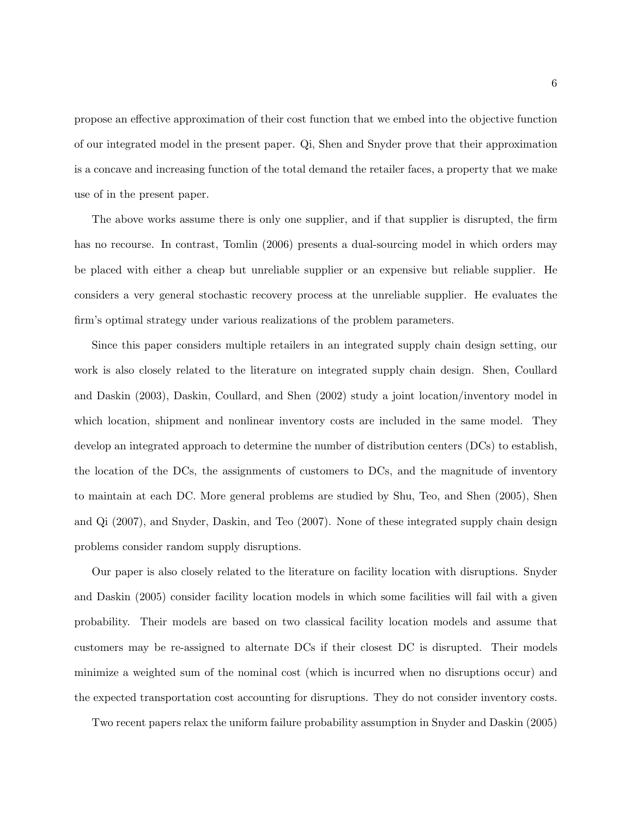propose an effective approximation of their cost function that we embed into the objective function of our integrated model in the present paper. Qi, Shen and Snyder prove that their approximation is a concave and increasing function of the total demand the retailer faces, a property that we make use of in the present paper.

The above works assume there is only one supplier, and if that supplier is disrupted, the firm has no recourse. In contrast, Tomlin (2006) presents a dual-sourcing model in which orders may be placed with either a cheap but unreliable supplier or an expensive but reliable supplier. He considers a very general stochastic recovery process at the unreliable supplier. He evaluates the firm's optimal strategy under various realizations of the problem parameters.

Since this paper considers multiple retailers in an integrated supply chain design setting, our work is also closely related to the literature on integrated supply chain design. Shen, Coullard and Daskin (2003), Daskin, Coullard, and Shen (2002) study a joint location/inventory model in which location, shipment and nonlinear inventory costs are included in the same model. They develop an integrated approach to determine the number of distribution centers (DCs) to establish, the location of the DCs, the assignments of customers to DCs, and the magnitude of inventory to maintain at each DC. More general problems are studied by Shu, Teo, and Shen (2005), Shen and Qi (2007), and Snyder, Daskin, and Teo (2007). None of these integrated supply chain design problems consider random supply disruptions.

Our paper is also closely related to the literature on facility location with disruptions. Snyder and Daskin (2005) consider facility location models in which some facilities will fail with a given probability. Their models are based on two classical facility location models and assume that customers may be re-assigned to alternate DCs if their closest DC is disrupted. Their models minimize a weighted sum of the nominal cost (which is incurred when no disruptions occur) and the expected transportation cost accounting for disruptions. They do not consider inventory costs.

Two recent papers relax the uniform failure probability assumption in Snyder and Daskin (2005)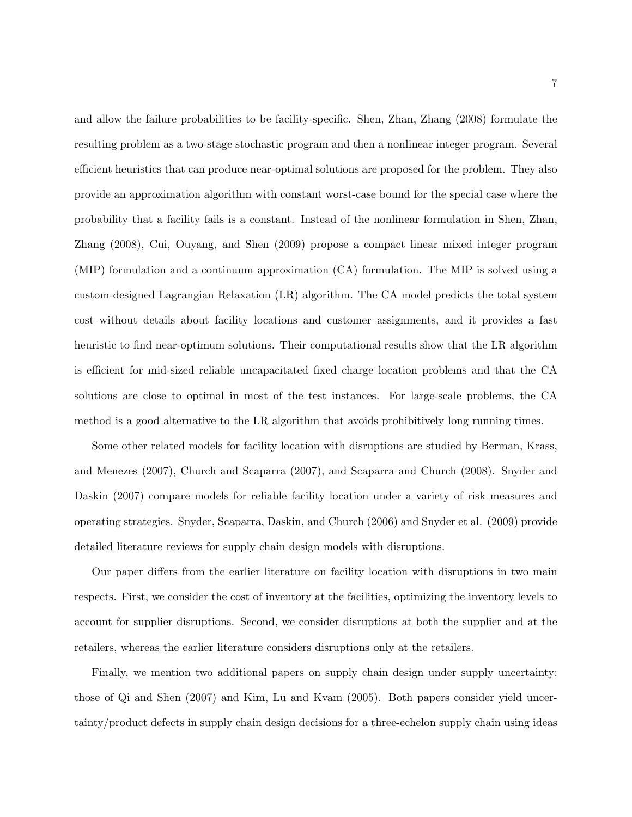and allow the failure probabilities to be facility-specific. Shen, Zhan, Zhang (2008) formulate the resulting problem as a two-stage stochastic program and then a nonlinear integer program. Several efficient heuristics that can produce near-optimal solutions are proposed for the problem. They also provide an approximation algorithm with constant worst-case bound for the special case where the probability that a facility fails is a constant. Instead of the nonlinear formulation in Shen, Zhan, Zhang (2008), Cui, Ouyang, and Shen (2009) propose a compact linear mixed integer program (MIP) formulation and a continuum approximation (CA) formulation. The MIP is solved using a custom-designed Lagrangian Relaxation (LR) algorithm. The CA model predicts the total system cost without details about facility locations and customer assignments, and it provides a fast heuristic to find near-optimum solutions. Their computational results show that the LR algorithm is efficient for mid-sized reliable uncapacitated fixed charge location problems and that the CA solutions are close to optimal in most of the test instances. For large-scale problems, the CA method is a good alternative to the LR algorithm that avoids prohibitively long running times.

Some other related models for facility location with disruptions are studied by Berman, Krass, and Menezes (2007), Church and Scaparra (2007), and Scaparra and Church (2008). Snyder and Daskin (2007) compare models for reliable facility location under a variety of risk measures and operating strategies. Snyder, Scaparra, Daskin, and Church (2006) and Snyder et al. (2009) provide detailed literature reviews for supply chain design models with disruptions.

Our paper differs from the earlier literature on facility location with disruptions in two main respects. First, we consider the cost of inventory at the facilities, optimizing the inventory levels to account for supplier disruptions. Second, we consider disruptions at both the supplier and at the retailers, whereas the earlier literature considers disruptions only at the retailers.

Finally, we mention two additional papers on supply chain design under supply uncertainty: those of Qi and Shen (2007) and Kim, Lu and Kvam (2005). Both papers consider yield uncertainty/product defects in supply chain design decisions for a three-echelon supply chain using ideas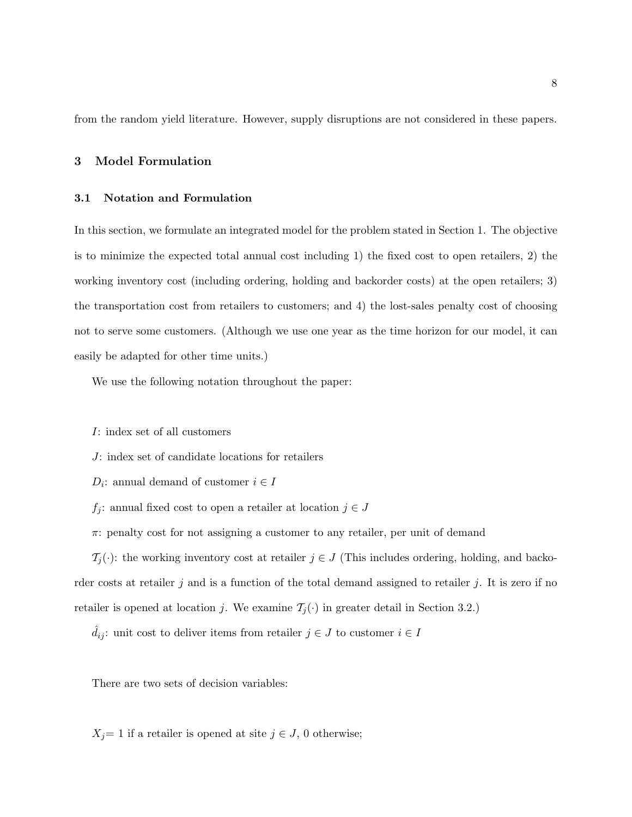from the random yield literature. However, supply disruptions are not considered in these papers.

#### 3 Model Formulation

#### 3.1 Notation and Formulation

In this section, we formulate an integrated model for the problem stated in Section 1. The objective is to minimize the expected total annual cost including 1) the fixed cost to open retailers, 2) the working inventory cost (including ordering, holding and backorder costs) at the open retailers; 3) the transportation cost from retailers to customers; and 4) the lost-sales penalty cost of choosing not to serve some customers. (Although we use one year as the time horizon for our model, it can easily be adapted for other time units.)

We use the following notation throughout the paper:

I: index set of all customers

J: index set of candidate locations for retailers

- $D_i$ : annual demand of customer  $i \in I$
- $f_j\colon$  annual fixed cost to open a retailer at location  $j\in J$
- $\pi$ : penalty cost for not assigning a customer to any retailer, per unit of demand

 $\mathcal{T}_j(\cdot)$ : the working inventory cost at retailer  $j \in J$  (This includes ordering, holding, and backorder costs at retailer j and is a function of the total demand assigned to retailer j. It is zero if no retailer is opened at location j. We examine  $\mathcal{T}_j(\cdot)$  in greater detail in Section 3.2.)

 $\hat{d}_{ij}$  : unit cost to deliver items from retailer  $j \in J$  to customer  $i \in I$ 

There are two sets of decision variables:

 $X_j=1$  if a retailer is opened at site  $j \in J$ , 0 otherwise;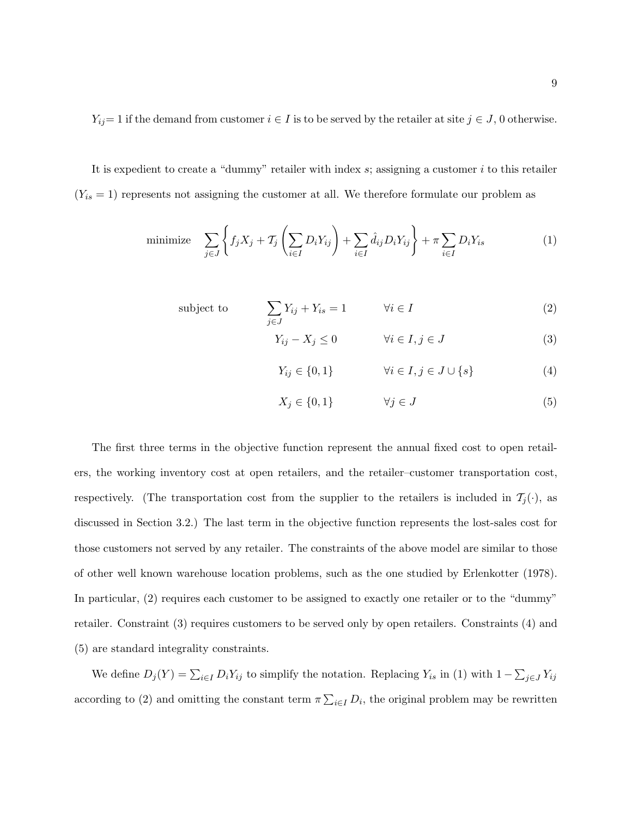$Y_{ij}=1$  if the demand from customer  $i \in I$  is to be served by the retailer at site  $j \in J$ , 0 otherwise.

It is expedient to create a "dummy" retailer with index  $s$ ; assigning a customer  $i$  to this retailer  $(Y_{is} = 1)$  represents not assigning the customer at all. We therefore formulate our problem as

minimize 
$$
\sum_{j \in J} \left\{ f_j X_j + T_j \left( \sum_{i \in I} D_i Y_{ij} \right) + \sum_{i \in I} \hat{d}_{ij} D_i Y_{ij} \right\} + \pi \sum_{i \in I} D_i Y_{is}
$$
 (1)

subject to 
$$
\sum_{j \in J} Y_{ij} + Y_{is} = 1 \qquad \forall i \in I
$$
 (2)

$$
Y_{ij} - X_j \le 0 \qquad \qquad \forall i \in I, j \in J \tag{3}
$$

$$
Y_{ij} \in \{0, 1\} \qquad \qquad \forall i \in I, j \in J \cup \{s\} \tag{4}
$$

$$
X_j \in \{0, 1\} \qquad \forall j \in J \tag{5}
$$

The first three terms in the objective function represent the annual fixed cost to open retailers, the working inventory cost at open retailers, and the retailer-customer transportation cost, respectively. (The transportation cost from the supplier to the retailers is included in  $\mathcal{T}_j(\cdot)$ , as discussed in Section 3.2.) The last term in the objective function represents the lost-sales cost for those customers not served by any retailer. The constraints of the above model are similar to those of other well known warehouse location problems, such as the one studied by Erlenkotter (1978). In particular, (2) requires each customer to be assigned to exactly one retailer or to the "dummy" retailer. Constraint (3) requires customers to be served only by open retailers. Constraints (4) and (5) are standard integrality constraints.

We define  $D_j(Y) = \sum_{i \in I} D_i Y_{ij}$  to simplify the notation. Replacing  $Y_{is}$  in (1) with  $1 - \sum_{j \in J} Y_{ij}$ according to (2) and omitting the constant term  $\pi \sum_{i \in I} D_i$ , the original problem may be rewritten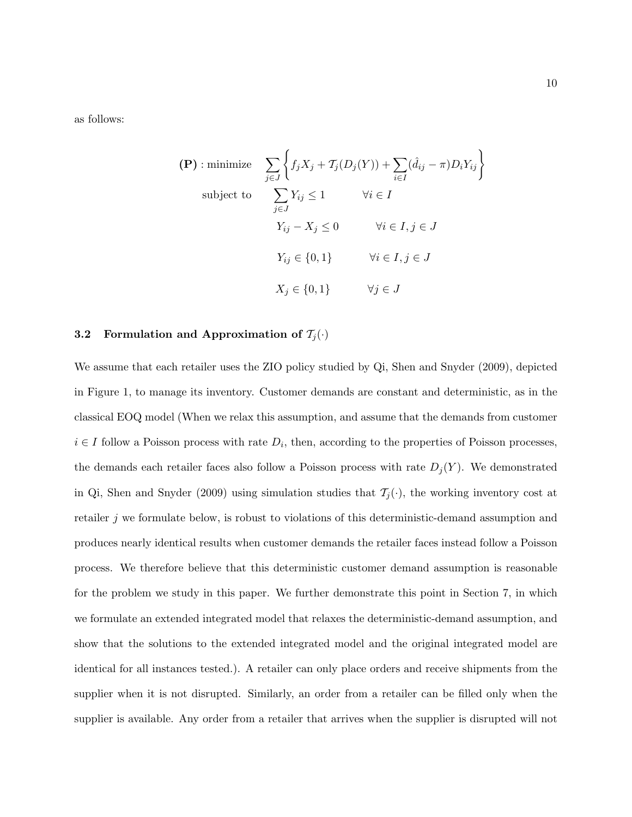as follows:

$$
\begin{aligned}\n\textbf{(P)}: \text{minimize} & \sum_{j \in J} \left\{ f_j X_j + T_j (D_j (Y)) + \sum_{i \in I} (\hat{d}_{ij} - \pi) D_i Y_{ij} \right\} \\
\text{subject to} & \sum_{j \in J} Y_{ij} \le 1 \qquad \forall i \in I \\
& Y_{ij} - X_j \le 0 \qquad \forall i \in I, j \in J \\
& Y_{ij} \in \{0, 1\} \qquad \forall i \in I, j \in J \\
& X_j \in \{0, 1\} \qquad \forall j \in J\n\end{aligned}
$$

## 3.2 Formulation and Approximation of  $\mathcal{T}_j(\cdot)$

We assume that each retailer uses the ZIO policy studied by Qi, Shen and Snyder (2009), depicted in Figure 1, to manage its inventory. Customer demands are constant and deterministic, as in the classical EOQ model (When we relax this assumption, and assume that the demands from customer  $i \in I$  follow a Poisson process with rate  $D_i$ , then, according to the properties of Poisson processes, the demands each retailer faces also follow a Poisson process with rate  $D_j(Y)$ . We demonstrated in Qi, Shen and Snyder (2009) using simulation studies that  $\mathcal{T}_j(\cdot)$ , the working inventory cost at retailer  $j$  we formulate below, is robust to violations of this deterministic-demand assumption and produces nearly identical results when customer demands the retailer faces instead follow a Poisson process. We therefore believe that this deterministic customer demand assumption is reasonable for the problem we study in this paper. We further demonstrate this point in Section 7, in which we formulate an extended integrated model that relaxes the deterministic-demand assumption, and show that the solutions to the extended integrated model and the original integrated model are identical for all instances tested.). A retailer can only place orders and receive shipments from the supplier when it is not disrupted. Similarly, an order from a retailer can be filled only when the supplier is available. Any order from a retailer that arrives when the supplier is disrupted will not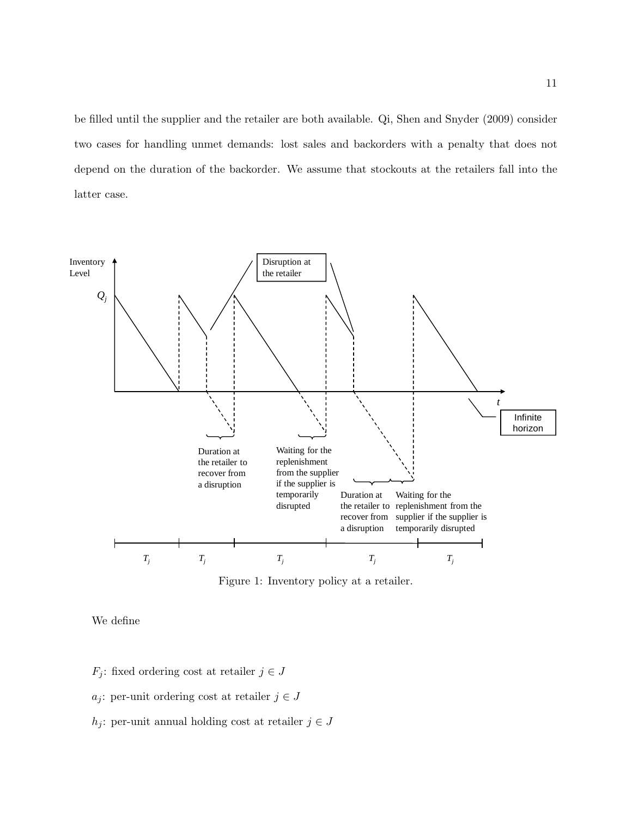be filled until the supplier and the retailer are both available. Qi, Shen and Snyder (2009) consider two cases for handling unmet demands: lost sales and backorders with a penalty that does not depend on the duration of the backorder. We assume that stockouts at the retailers fall into the latter case.



Figure 1: Inventory policy at a retailer.

We define

 $F_j$ : fixed ordering cost at retailer  $j \in J$ 

- a<sub>j</sub>: per-unit ordering cost at retailer  $j \in J$
- h<sub>j</sub>: per-unit annual holding cost at retailer  $j \in J$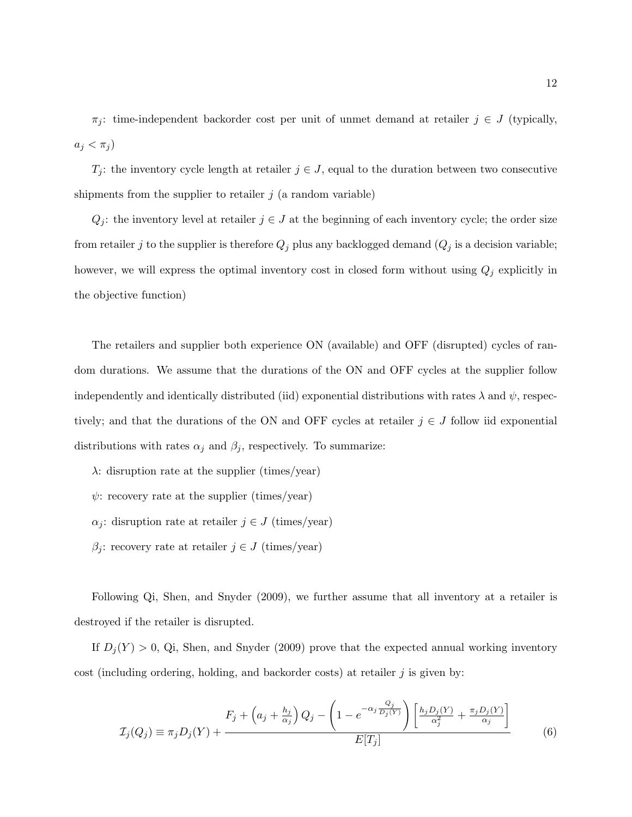$\pi_j$ : time-independent backorder cost per unit of unmet demand at retailer  $j \in J$  (typically,  $a_j < \pi_j$ 

 $T_j$ : the inventory cycle length at retailer  $j \in J$ , equal to the duration between two consecutive shipments from the supplier to retailer  $j$  (a random variable)

 $Q_j$ : the inventory level at retailer  $j \in J$  at the beginning of each inventory cycle; the order size from retailer j to the supplier is therefore  $Q_j$  plus any backlogged demand  $(Q_j$  is a decision variable; however, we will express the optimal inventory cost in closed form without using  $Q_j$  explicitly in the objective function)

The retailers and supplier both experience ON (available) and OFF (disrupted) cycles of random durations. We assume that the durations of the ON and OFF cycles at the supplier follow independently and identically distributed (iid) exponential distributions with rates  $\lambda$  and  $\psi$ , respectively; and that the durations of the ON and OFF cycles at retailer  $j \in J$  follow iid exponential distributions with rates  $\alpha_j$  and  $\beta_j$ , respectively. To summarize:

 $\lambda$ : disruption rate at the supplier (times/year)

- $\psi$ : recovery rate at the supplier (times/year)
- $\alpha_i$ : disruption rate at retailer  $j \in J$  (times/year)
- $\beta_i$ : recovery rate at retailer  $j \in J$  (times/year)

Following Qi, Shen, and Snyder (2009), we further assume that all inventory at a retailer is destroyed if the retailer is disrupted.

If  $D_j(Y) > 0$ , Qi, Shen, and Snyder (2009) prove that the expected annual working inventory cost (including ordering, holding, and backorder costs) at retailer  $j$  is given by:

$$
\mathcal{I}_j(Q_j) \equiv \pi_j D_j(Y) + \frac{F_j + \left(a_j + \frac{h_j}{\alpha_j}\right) Q_j - \left(1 - e^{-\alpha_j \frac{Q_j}{D_j(Y)}}\right) \left[\frac{h_j D_j(Y)}{\alpha_j^2} + \frac{\pi_j D_j(Y)}{\alpha_j}\right]}{E[T_j]}
$$
(6)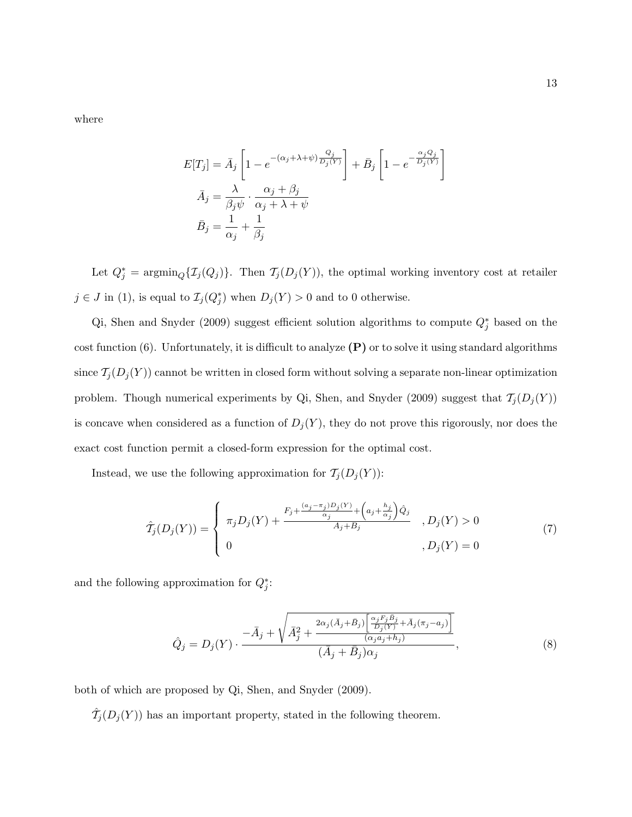where

$$
E[T_j] = \bar{A}_j \left[ 1 - e^{-(\alpha_j + \lambda + \psi)} \frac{Q_j}{D_j(Y)} \right] + \bar{B}_j \left[ 1 - e^{-\frac{\alpha_j Q_j}{D_j(Y)}} \right]
$$

$$
\bar{A}_j = \frac{\lambda}{\beta_j \psi} \cdot \frac{\alpha_j + \beta_j}{\alpha_j + \lambda + \psi}
$$

$$
\bar{B}_j = \frac{1}{\alpha_j} + \frac{1}{\beta_j}
$$

Let  $Q_j^* = \operatorname{argmin}_Q{\{\mathcal{I}_j(Q_j)\}}$ . Then  $\mathcal{T}_j(D_j(Y))$ , the optimal working inventory cost at retailer  $j \in J$  in (1), is equal to  $\mathcal{I}_j(Q_j^*)$  when  $D_j(Y) > 0$  and to 0 otherwise.

Qi, Shen and Snyder (2009) suggest efficient solution algorithms to compute  $Q_j^*$  based on the cost function (6). Unfortunately, it is difficult to analyze  $(P)$  or to solve it using standard algorithms since  $\mathcal{T}_j(D_j(Y))$  cannot be written in closed form without solving a separate non-linear optimization problem. Though numerical experiments by Qi, Shen, and Snyder (2009) suggest that  $\mathcal{T}_j(D_j(Y))$ is concave when considered as a function of  $D_j(Y)$ , they do not prove this rigorously, nor does the exact cost function permit a closed-form expression for the optimal cost.

Instead, we use the following approximation for  $\mathcal{T}_j(D_j(Y))$ :

$$
\hat{T}_j(D_j(Y)) = \begin{cases}\n\pi_j D_j(Y) + \frac{F_j + \frac{(a_j - \pi_j)D_j(Y)}{\alpha_j} + \left(a_j + \frac{h_j}{\alpha_j}\right)\hat{Q}_j}{\bar{A}_j + \bar{B}_j}, & D_j(Y) > 0 \\
0 & , D_j(Y) = 0\n\end{cases}
$$
\n(7)

and the following approximation for  $Q_j^*$ :

$$
\hat{Q}_j = D_j(Y) \cdot \frac{-\bar{A}_j + \sqrt{\bar{A}_j^2 + \frac{2\alpha_j(\bar{A}_j + \bar{B}_j) \left[\frac{\alpha_j F_j \bar{B}_j}{D_j(Y)} + \bar{A}_j(\pi_j - a_j)\right]}}{(\bar{A}_j + \bar{B}_j)\alpha_j}, \tag{8}
$$

both of which are proposed by Qi, Shen, and Snyder (2009).

 $\hat{\mathcal{T}}_j(D_j(Y))$  has an important property, stated in the following theorem.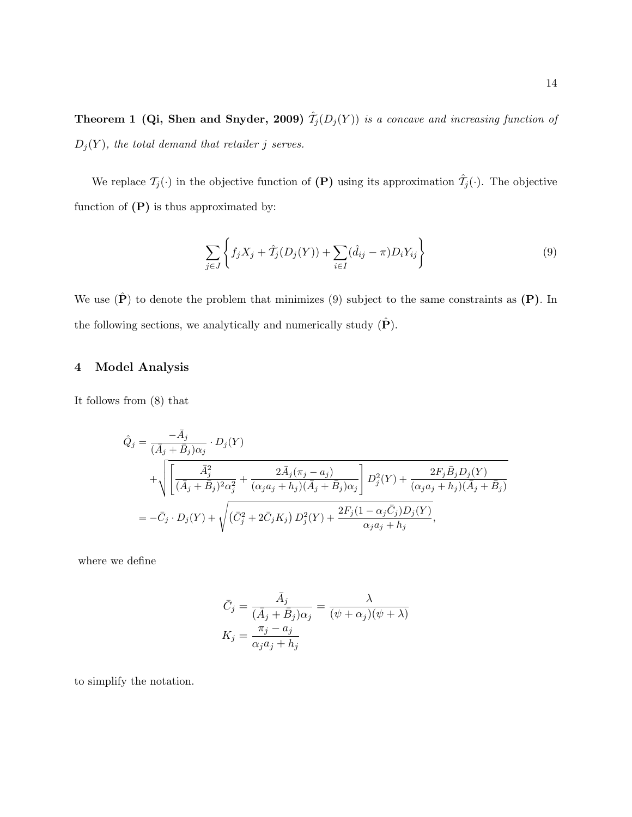**Theorem 1 (Qi, Shen and Snyder, 2009)**  $\hat{\mathcal{T}}_j(D_j(Y))$  is a concave and increasing function of  $D_j(Y)$ , the total demand that retailer j serves.

We replace  $\mathcal{T}_j(\cdot)$  in the objective function of  $(\mathbf{P})$  using its approximation  $\hat{\mathcal{T}}_j(\cdot)$ . The objective function of  $(P)$  is thus approximated by:

$$
\sum_{j \in J} \left\{ f_j X_j + \hat{T}_j (D_j (Y)) + \sum_{i \in I} (\hat{d}_{ij} - \pi) D_i Y_{ij} \right\}
$$
\n(9)

We use  $(\hat{P})$  to denote the problem that minimizes  $(9)$  subject to the same constraints as  $(P)$ . In the following sections, we analytically and numerically study  $(\hat{P})$ .

#### 4 Model Analysis

It follows from (8) that

$$
\hat{Q}_{j} = \frac{-\bar{A}_{j}}{(\bar{A}_{j} + \bar{B}_{j})\alpha_{j}} \cdot D_{j}(Y)
$$
\n
$$
+ \sqrt{\left[\frac{\bar{A}_{j}^{2}}{(\bar{A}_{j} + \bar{B}_{j})^{2}\alpha_{j}^{2}} + \frac{2\bar{A}_{j}(\pi_{j} - a_{j})}{(\alpha_{j}a_{j} + h_{j})(\bar{A}_{j} + \bar{B}_{j})\alpha_{j}}\right] D_{j}^{2}(Y) + \frac{2F_{j}\bar{B}_{j}D_{j}(Y)}{(\alpha_{j}a_{j} + h_{j})(\bar{A}_{j} + \bar{B}_{j})}
$$
\n
$$
= -\bar{C}_{j} \cdot D_{j}(Y) + \sqrt{(\bar{C}_{j}^{2} + 2\bar{C}_{j}K_{j}) D_{j}^{2}(Y) + \frac{2F_{j}(1 - \alpha_{j}\bar{C}_{j})D_{j}(Y)}{\alpha_{j}a_{j} + h_{j}}},
$$

where we define

$$
\bar{C}_j = \frac{\bar{A}_j}{(\bar{A}_j + \bar{B}_j)\alpha_j} = \frac{\lambda}{(\psi + \alpha_j)(\psi + \lambda)}
$$

$$
K_j = \frac{\pi_j - a_j}{\alpha_j a_j + h_j}
$$

to simplify the notation.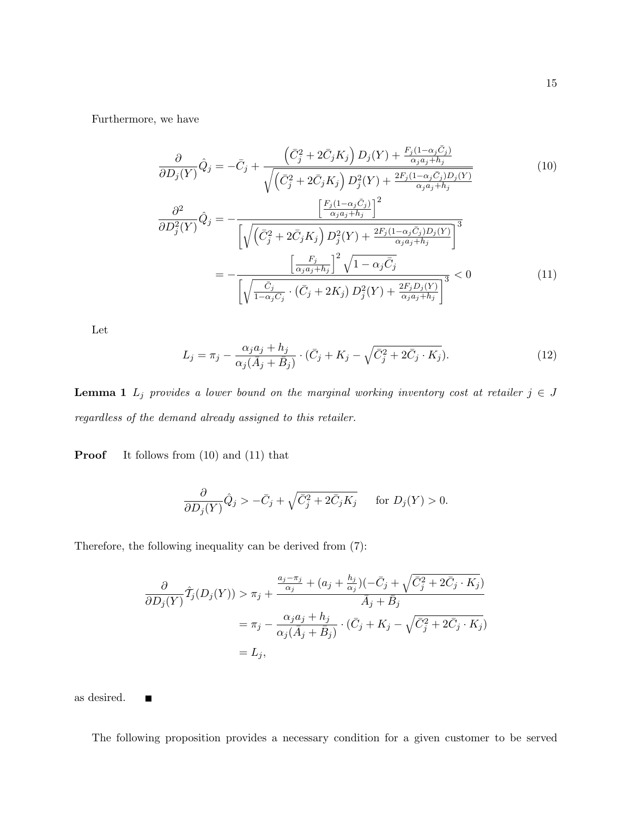Furthermore, we have

$$
\frac{\partial}{\partial D_j(Y)}\hat{Q}_j = -\bar{C}_j + \frac{\left(\bar{C}_j^2 + 2\bar{C}_j K_j\right) D_j(Y) + \frac{F_j(1-\alpha_j \bar{C}_j)}{\alpha_j a_j + h_j}}{\sqrt{\left(\bar{C}_j^2 + 2\bar{C}_j K_j\right) D_j^2(Y) + \frac{2F_j(1-\alpha_j \bar{C}_j) D_j(Y)}{\alpha_j a_j + h_j}}}
$$
(10)  

$$
\frac{\partial^2}{\partial D_j^2(Y)}\hat{Q}_j = -\frac{\left[\frac{F_j(1-\alpha_j \bar{C}_j)}{\alpha_j a_j + h_j}\right]^2}{\left[\sqrt{\left(\bar{C}_j^2 + 2\bar{C}_j K_j\right) D_j^2(Y) + \frac{2F_j(1-\alpha_j \bar{C}_j) D_j(Y)}{\alpha_j a_j + h_j}}\right]^3}
$$

$$
= -\frac{\left[\frac{F_j}{\alpha_j a_j + h_j}\right]^2 \sqrt{1 - \alpha_j \bar{C}_j}}{\left[\sqrt{\frac{\bar{C}_j}{1 - \alpha_j \bar{C}_j} \cdot (\bar{C}_j + 2K_j) D_j^2(Y) + \frac{2F_j D_j(Y)}{\alpha_j a_j + h_j}}\right]^3} < 0
$$
(11)

Let

$$
L_j = \pi_j - \frac{\alpha_j a_j + h_j}{\alpha_j (\bar{A}_j + \bar{B}_j)} \cdot (\bar{C}_j + K_j - \sqrt{\bar{C}_j^2 + 2\bar{C}_j \cdot K_j}).
$$
\n(12)

**Lemma 1**  $L_j$  provides a lower bound on the marginal working inventory cost at retailer  $j \in J$ regardless of the demand already assigned to this retailer.

**Proof** It follows from  $(10)$  and  $(11)$  that

$$
\frac{\partial}{\partial D_j(Y)}\hat{Q}_j > -\bar{C}_j + \sqrt{\bar{C}_j^2 + 2\bar{C}_j K_j} \quad \text{for } D_j(Y) > 0.
$$

Therefore, the following inequality can be derived from (7):

$$
\frac{\partial}{\partial D_j(Y)} \hat{T}_j(D_j(Y)) > \pi_j + \frac{\frac{a_j - \pi_j}{\alpha_j} + (a_j + \frac{h_j}{\alpha_j})(-\bar{C}_j + \sqrt{\bar{C}_j^2 + 2\bar{C}_j \cdot K_j})}{\bar{A}_j + \bar{B}_j}
$$

$$
= \pi_j - \frac{\alpha_j a_j + h_j}{\alpha_j(\bar{A}_j + \bar{B}_j)} \cdot (\bar{C}_j + K_j - \sqrt{\bar{C}_j^2 + 2\bar{C}_j \cdot K_j})
$$

$$
= L_j,
$$

as desired.  $\blacksquare$ 

The following proposition provides a necessary condition for a given customer to be served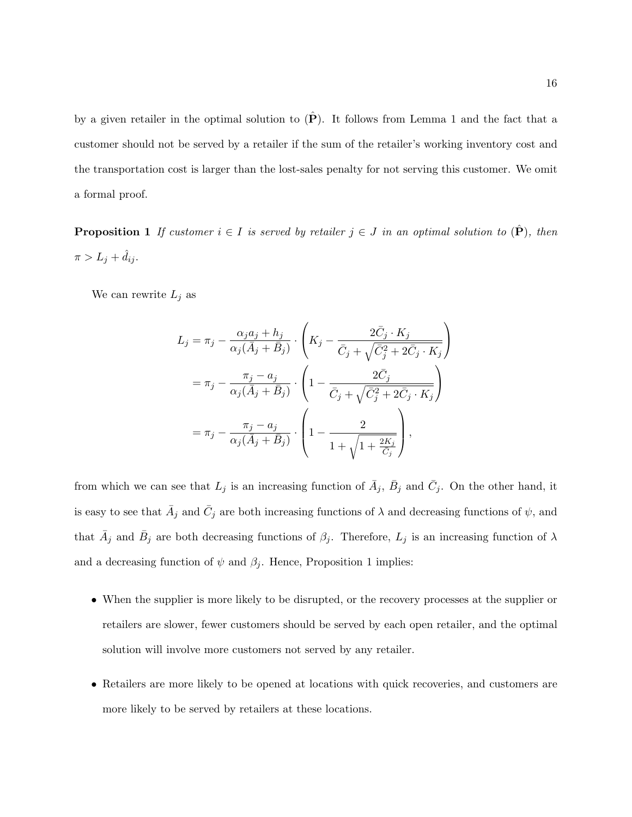by a given retailer in the optimal solution to  $(\hat{P})$ . It follows from Lemma 1 and the fact that a customer should not be served by a retailer if the sum of the retailer's working inventory cost and the transportation cost is larger than the lost-sales penalty for not serving this customer. We omit a formal proof.

**Proposition 1** If customer  $i \in I$  is served by retailer  $j \in J$  in an optimal solution to  $(\hat{P})$ , then  $\pi > L_j + \hat{d}_{ij}.$ 

We can rewrite  $L_j$  as

$$
L_j = \pi_j - \frac{\alpha_j a_j + h_j}{\alpha_j (\bar{A}_j + \bar{B}_j)} \cdot \left( K_j - \frac{2 \bar{C}_j \cdot K_j}{\bar{C}_j + \sqrt{\bar{C}_j^2 + 2\bar{C}_j \cdot K_j}} \right)
$$
  

$$
= \pi_j - \frac{\pi_j - a_j}{\alpha_j (\bar{A}_j + \bar{B}_j)} \cdot \left( 1 - \frac{2 \bar{C}_j}{\bar{C}_j + \sqrt{\bar{C}_j^2 + 2\bar{C}_j \cdot K_j}} \right)
$$
  

$$
= \pi_j - \frac{\pi_j - a_j}{\alpha_j (\bar{A}_j + \bar{B}_j)} \cdot \left( 1 - \frac{2}{1 + \sqrt{1 + \frac{2K_j}{C_j}}} \right),
$$

from which we can see that  $L_j$  is an increasing function of  $\bar{A}_j$ ,  $\bar{B}_j$  and  $\bar{C}_j$ . On the other hand, it is easy to see that  $\bar{A}_j$  and  $\bar{C}_j$  are both increasing functions of  $\lambda$  and decreasing functions of  $\psi$ , and that  $\bar{A}_j$  and  $\bar{B}_j$  are both decreasing functions of  $\beta_j$ . Therefore,  $L_j$  is an increasing function of  $\lambda$ and a decreasing function of  $\psi$  and  $\beta_i$ . Hence, Proposition 1 implies:

- When the supplier is more likely to be disrupted, or the recovery processes at the supplier or retailers are slower, fewer customers should be served by each open retailer, and the optimal solution will involve more customers not served by any retailer.
- Retailers are more likely to be opened at locations with quick recoveries, and customers are more likely to be served by retailers at these locations.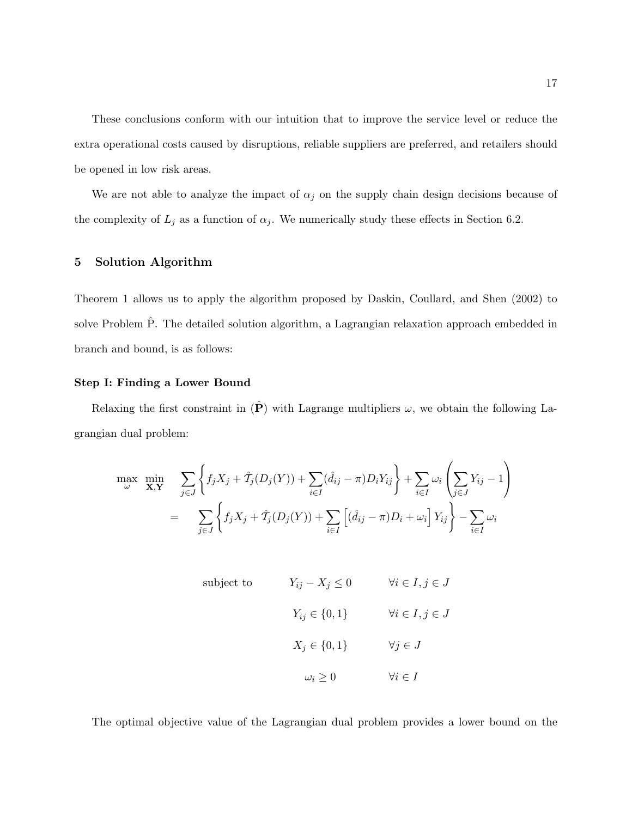These conclusions conform with our intuition that to improve the service level or reduce the extra operational costs caused by disruptions, reliable suppliers are preferred, and retailers should be opened in low risk areas.

We are not able to analyze the impact of  $\alpha_j$  on the supply chain design decisions because of the complexity of  $L_j$  as a function of  $\alpha_j$ . We numerically study these effects in Section 6.2.

## 5 Solution Algorithm

Theorem 1 allows us to apply the algorithm proposed by Daskin, Coullard, and Shen (2002) to solve Problem  $\hat{P}$ . The detailed solution algorithm, a Lagrangian relaxation approach embedded in branch and bound, is as follows:

#### Step I: Finding a Lower Bound

Relaxing the first constraint in  $(\hat{P})$  with Lagrange multipliers  $\omega$ , we obtain the following Lagrangian dual problem:

$$
\max_{\omega} \min_{\mathbf{X}, \mathbf{Y}} \sum_{j \in J} \left\{ f_j X_j + \hat{T}_j (D_j (Y)) + \sum_{i \in I} (\hat{d}_{ij} - \pi) D_i Y_{ij} \right\} + \sum_{i \in I} \omega_i \left( \sum_{j \in J} Y_{ij} - 1 \right)
$$

$$
= \sum_{j \in J} \left\{ f_j X_j + \hat{T}_j (D_j (Y)) + \sum_{i \in I} \left[ (\hat{d}_{ij} - \pi) D_i + \omega_i \right] Y_{ij} \right\} - \sum_{i \in I} \omega_i
$$

subject to 
$$
Y_{ij} - X_j \le 0
$$
  $\forall i \in I, j \in J$   
 $Y_{ij} \in \{0, 1\}$   $\forall i \in I, j \in J$   
 $X_j \in \{0, 1\}$   $\forall j \in J$   
 $\omega_i \ge 0$   $\forall i \in I$ 

The optimal objective value of the Lagrangian dual problem provides a lower bound on the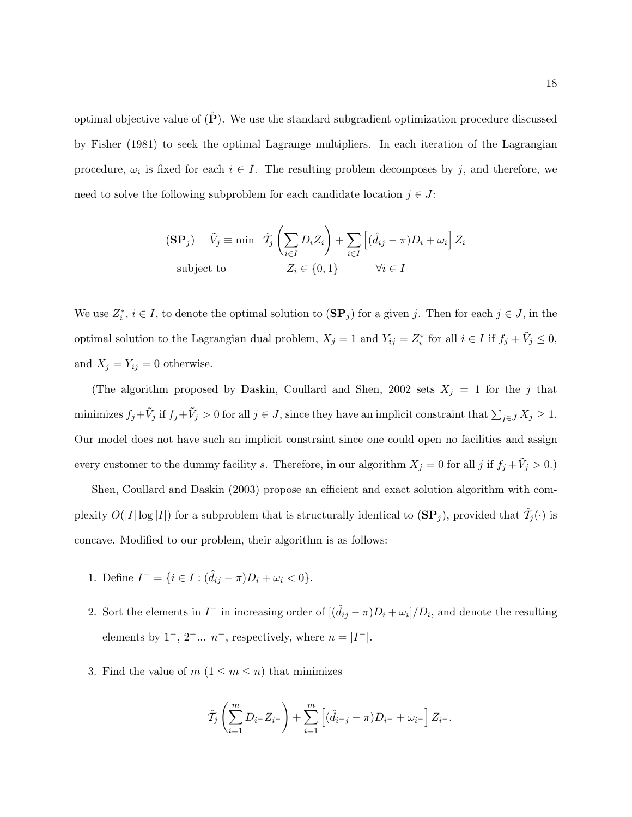optimal objective value of  $(\hat{P})$ . We use the standard subgradient optimization procedure discussed by Fisher (1981) to seek the optimal Lagrange multipliers. In each iteration of the Lagrangian procedure,  $\omega_i$  is fixed for each  $i \in I$ . The resulting problem decomposes by j, and therefore, we need to solve the following subproblem for each candidate location  $j \in J$ :

$$
\begin{aligned} \n\textbf{(SP}_j) \quad \tilde{V}_j & \equiv \min \quad \hat{T}_j \left( \sum_{i \in I} D_i Z_i \right) + \sum_{i \in I} \left[ (\hat{d}_{ij} - \pi) D_i + \omega_i \right] Z_i \\ \n\text{subject to} \n\qquad & Z_i \in \{0, 1\} \n\qquad \forall i \in I \n\end{aligned}
$$

We use  $Z_i^*, i \in I$ , to denote the optimal solution to  $(\mathbf{SP}_j)$  for a given j. Then for each  $j \in J$ , in the optimal solution to the Lagrangian dual problem,  $X_j = 1$  and  $Y_{ij} = Z_i^*$  for all  $i \in I$  if  $f_j + \tilde{V}_j \leq 0$ , and  $X_j = Y_{ij} = 0$  otherwise.

(The algorithm proposed by Daskin, Coullard and Shen, 2002 sets  $X_j = 1$  for the j that minimizes  $f_j + \tilde{V}_j$  if  $f_j + \tilde{V}_j > 0$  for all  $j \in J$ , since they have an implicit constraint that  $\sum_{j \in J} X_j \ge 1$ . Our model does not have such an implicit constraint since one could open no facilities and assign every customer to the dummy facility s. Therefore, in our algorithm  $X_j = 0$  for all j if  $f_j + \tilde{V}_j > 0$ .)

Shen, Coullard and Daskin (2003) propose an efficient and exact solution algorithm with complexity  $O(|I|\log|I|)$  for a subproblem that is structurally identical to  $(\mathbf{SP}_j)$ , provided that  $\hat{\mathcal{T}}_j(\cdot)$  is concave. Modified to our problem, their algorithm is as follows:

- 1. Define  $I^- = \{i \in I : (\hat{d}_{ij} \pi)D_i + \omega_i < 0\}.$
- 2. Sort the elements in  $I^-$  in increasing order of  $[(\hat{d}_{ij} \pi)D_i + \omega_i]/D_i$ , and denote the resulting elements by  $1^-, 2^-... n^-,$  respectively, where  $n = |I^-|$ .
- 3. Find the value of  $m$   $(1 \leq m \leq n)$  that minimizes

$$
\hat{T}_j \left( \sum_{i=1}^m D_{i^-} Z_{i^-} \right) + \sum_{i=1}^m \left[ (\hat{d}_{i^-j} - \pi) D_{i^-} + \omega_{i^-} \right] Z_{i^-}.
$$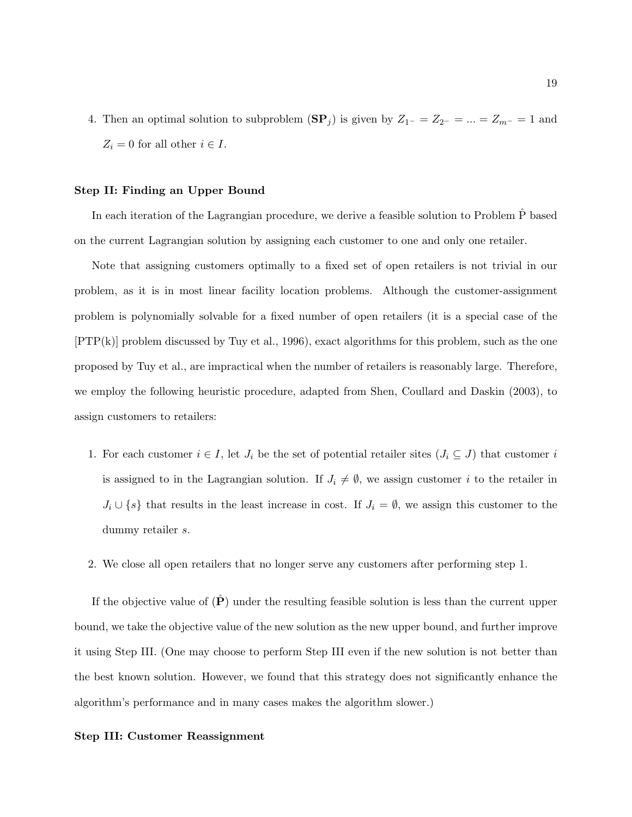4. Then an optimal solution to subproblem  $(\mathbf{SP}_j)$  is given by  $Z_{1^-} = Z_{2^-} = ... = Z_{m^-} = 1$  and  $Z_i = 0$  for all other  $i \in I$ .

#### Step II: Finding an Upper Bound

In each iteration of the Lagrangian procedure, we derive a feasible solution to Problem  $\hat{P}$  based on the current Lagrangian solution by assigning each customer to one and only one retailer.

Note that assigning customers optimally to a fixed set of open retailers is not trivial in our problem, as it is in most linear facility location problems. Although the customer-assignment problem is polynomially solvable for a fixed number of open retailers (it is a special case of the [PTP(k)] problem discussed by Tuy et al., 1996), exact algorithms for this problem, such as the one proposed by Tuy et al., are impractical when the number of retailers is reasonably large. Therefore, we employ the following heuristic procedure, adapted from Shen, Coullard and Daskin (2003), to assign customers to retailers:

- 1. For each customer  $i \in I$ , let  $J_i$  be the set of potential retailer sites  $(J_i \subseteq J)$  that customer i is assigned to in the Lagrangian solution. If  $J_i \neq \emptyset$ , we assign customer i to the retailer in  $J_i \cup \{s\}$  that results in the least increase in cost. If  $J_i = \emptyset$ , we assign this customer to the dummy retailer s.
- 2. We close all open retailers that no longer serve any customers after performing step 1.

If the objective value of  $(\hat{P})$  under the resulting feasible solution is less than the current upper bound, we take the objective value of the new solution as the new upper bound, and further improve it using Step III. (One may choose to perform Step III even if the new solution is not better than the best known solution. However, we found that this strategy does not significantly enhance the algorithm's performance and in many cases makes the algorithm slower.)

#### Step III: Customer Reassignment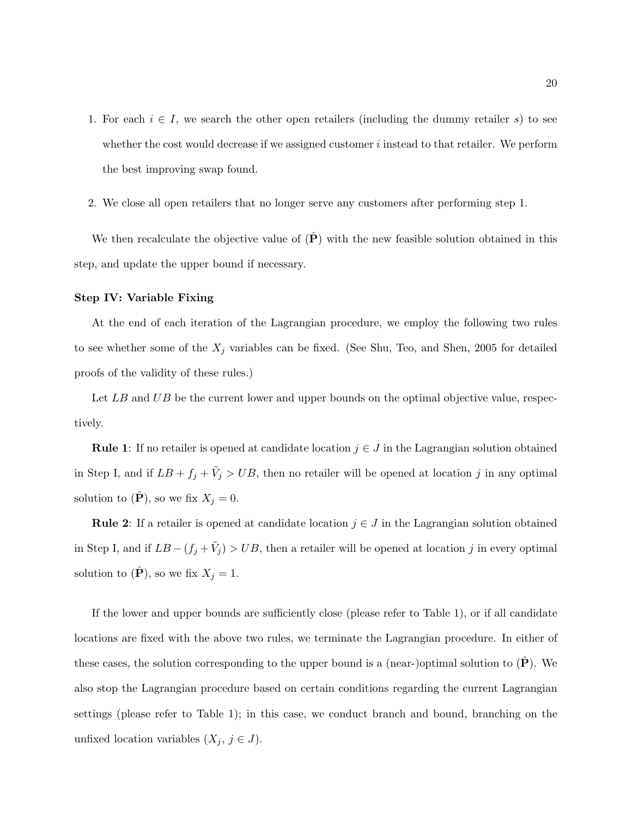- 1. For each  $i \in I$ , we search the other open retailers (including the dummy retailer s) to see whether the cost would decrease if we assigned customer  $i$  instead to that retailer. We perform the best improving swap found.
- 2. We close all open retailers that no longer serve any customers after performing step 1.

We then recalculate the objective value of  $(\hat{P})$  with the new feasible solution obtained in this step, and update the upper bound if necessary.

#### Step IV: Variable Fixing

At the end of each iteration of the Lagrangian procedure, we employ the following two rules to see whether some of the  $X_j$  variables can be fixed. (See Shu, Teo, and Shen, 2005 for detailed proofs of the validity of these rules.)

Let  $LB$  and  $UB$  be the current lower and upper bounds on the optimal objective value, respectively.

**Rule 1:** If no retailer is opened at candidate location  $j \in J$  in the Lagrangian solution obtained in Step I, and if  $LB + f_j + V_j > UB$ , then no retailer will be opened at location j in any optimal solution to  $(P)$ , so we fix  $X_j = 0$ .

Rule 2: If a retailer is opened at candidate location  $j \in J$  in the Lagrangian solution obtained in Step I, and if  $LB - (f_j + \tilde{V}_j) > UB$ , then a retailer will be opened at location j in every optimal solution to  $(\hat{\mathbf{P}})$ , so we fix  $X_j = 1$ .

If the lower and upper bounds are sufficiently close (please refer to Table 1), or if all candidate locations are fixed with the above two rules, we terminate the Lagrangian procedure. In either of these cases, the solution corresponding to the upper bound is a (near-)optimal solution to  $(\mathbf{P})$ . We also stop the Lagrangian procedure based on certain conditions regarding the current Lagrangian settings (please refer to Table 1); in this case, we conduct branch and bound, branching on the unfixed location variables  $(X_j, j \in J)$ .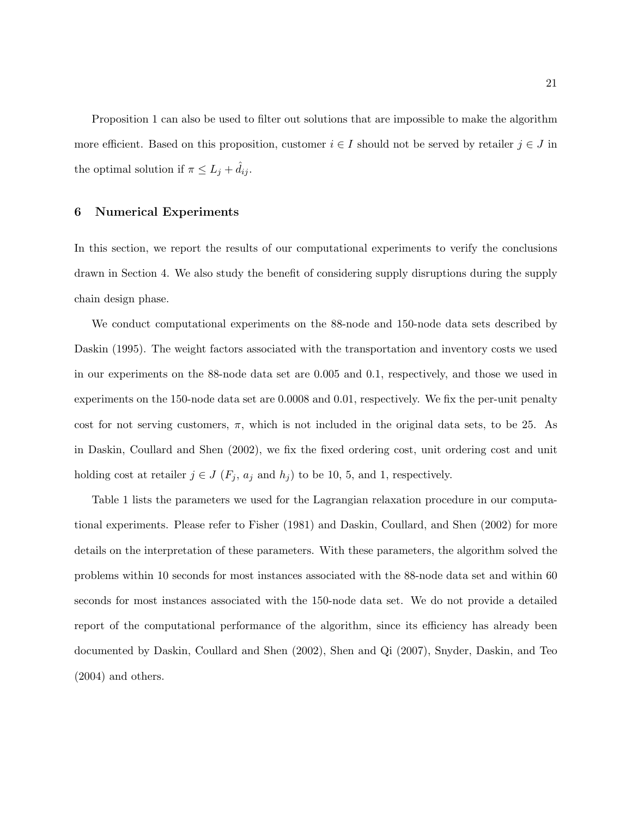Proposition 1 can also be used to filter out solutions that are impossible to make the algorithm more efficient. Based on this proposition, customer  $i \in I$  should not be served by retailer  $j \in J$  in the optimal solution if  $\pi \leq L_j + d_{ij}$ .

### 6 Numerical Experiments

In this section, we report the results of our computational experiments to verify the conclusions drawn in Section 4. We also study the benefit of considering supply disruptions during the supply chain design phase.

We conduct computational experiments on the 88-node and 150-node data sets described by Daskin (1995). The weight factors associated with the transportation and inventory costs we used in our experiments on the 88-node data set are 0.005 and 0.1, respectively, and those we used in experiments on the 150-node data set are 0.0008 and 0.01, respectively. We fix the per-unit penalty cost for not serving customers,  $\pi$ , which is not included in the original data sets, to be 25. As in Daskin, Coullard and Shen (2002), we fix the fixed ordering cost, unit ordering cost and unit holding cost at retailer  $j \in J$  ( $F_j$ ,  $a_j$  and  $h_j$ ) to be 10, 5, and 1, respectively.

Table 1 lists the parameters we used for the Lagrangian relaxation procedure in our computational experiments. Please refer to Fisher (1981) and Daskin, Coullard, and Shen (2002) for more details on the interpretation of these parameters. With these parameters, the algorithm solved the problems within 10 seconds for most instances associated with the 88-node data set and within 60 seconds for most instances associated with the 150-node data set. We do not provide a detailed report of the computational performance of the algorithm, since its efficiency has already been documented by Daskin, Coullard and Shen (2002), Shen and Qi (2007), Snyder, Daskin, and Teo (2004) and others.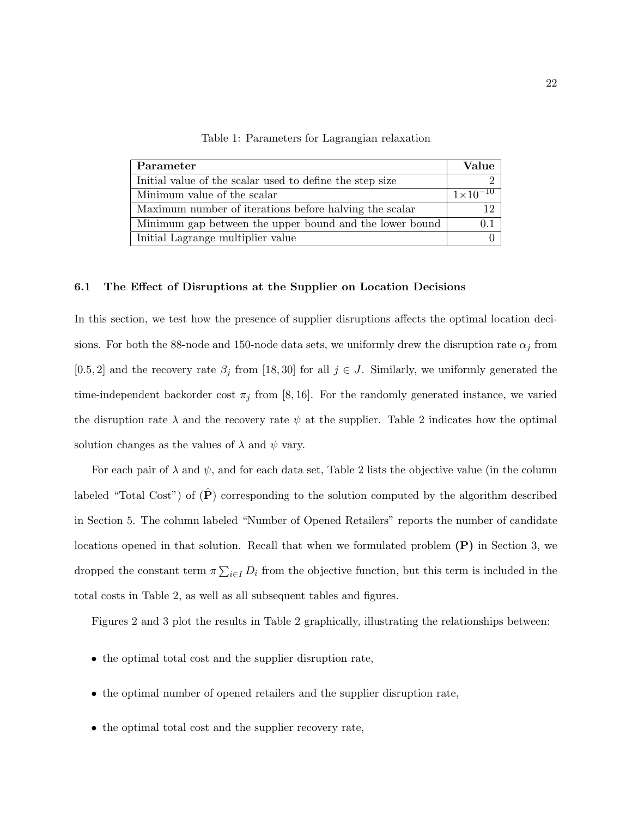Table 1: Parameters for Lagrangian relaxation

| Parameter                                                | Value             |
|----------------------------------------------------------|-------------------|
| Initial value of the scalar used to define the step size |                   |
| Minimum value of the scalar                              | $1\times10^{-10}$ |
| Maximum number of iterations before halving the scalar   | 19                |
| Minimum gap between the upper bound and the lower bound  |                   |
| Initial Lagrange multiplier value                        |                   |

#### 6.1 The Effect of Disruptions at the Supplier on Location Decisions

In this section, we test how the presence of supplier disruptions affects the optimal location decisions. For both the 88-node and 150-node data sets, we uniformly drew the disruption rate  $\alpha_j$  from [0.5, 2] and the recovery rate  $\beta_j$  from [18, 30] for all  $j \in J$ . Similarly, we uniformly generated the time-independent backorder cost  $\pi_j$  from [8, 16]. For the randomly generated instance, we varied the disruption rate  $\lambda$  and the recovery rate  $\psi$  at the supplier. Table 2 indicates how the optimal solution changes as the values of  $\lambda$  and  $\psi$  vary.

For each pair of  $\lambda$  and  $\psi$ , and for each data set, Table 2 lists the objective value (in the column labeled "Total Cost") of  $(\hat{P})$  corresponding to the solution computed by the algorithm described in Section 5. The column labeled "Number of Opened Retailers" reports the number of candidate locations opened in that solution. Recall that when we formulated problem  $(P)$  in Section 3, we dropped the constant term  $\pi \sum_{i \in I} D_i$  from the objective function, but this term is included in the total costs in Table 2, as well as all subsequent tables and figures.

Figures 2 and 3 plot the results in Table 2 graphically, illustrating the relationships between:

- the optimal total cost and the supplier disruption rate,
- the optimal number of opened retailers and the supplier disruption rate,
- the optimal total cost and the supplier recovery rate,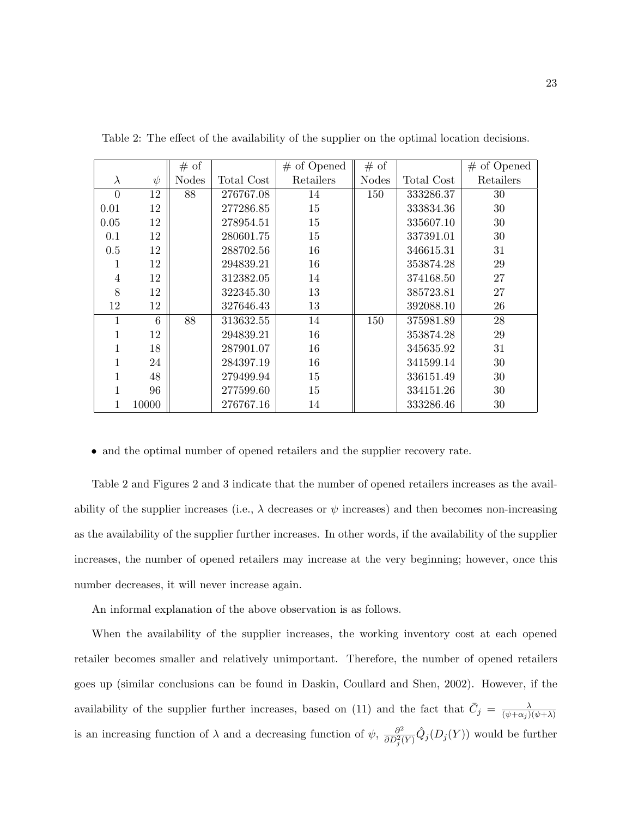|           |        | # of         |            | $#$ of Opened | # of         |            | $#$ of Opened |
|-----------|--------|--------------|------------|---------------|--------------|------------|---------------|
| $\lambda$ | $\psi$ | <b>Nodes</b> | Total Cost | Retailers     | <b>Nodes</b> | Total Cost | Retailers     |
| $\Omega$  | 12     | 88           | 276767.08  | 14            | 150          | 333286.37  | 30            |
| 0.01      | 12     |              | 277286.85  | 15            |              | 333834.36  | 30            |
| 0.05      | 12     |              | 278954.51  | 15            |              | 335607.10  | 30            |
| 0.1       | 12     |              | 280601.75  | 15            |              | 337391.01  | 30            |
| 0.5       | 12     |              | 288702.56  | 16            |              | 346615.31  | 31            |
| 1         | 12     |              | 294839.21  | 16            |              | 353874.28  | 29            |
| 4         | 12     |              | 312382.05  | 14            |              | 374168.50  | 27            |
| 8         | 12     |              | 322345.30  | 13            |              | 385723.81  | 27            |
| 12        | 12     |              | 327646.43  | 13            |              | 392088.10  | 26            |
|           | 6      | 88           | 313632.55  | 14            | 150          | 375981.89  | 28            |
|           | 12     |              | 294839.21  | 16            |              | 353874.28  | 29            |
|           | 18     |              | 287901.07  | 16            |              | 345635.92  | 31            |
|           | 24     |              | 284397.19  | 16            |              | 341599.14  | 30            |
|           | 48     |              | 279499.94  | 15            |              | 336151.49  | 30            |
|           | 96     |              | 277599.60  | 15            |              | 334151.26  | 30            |
|           | 10000  |              | 276767.16  | 14            |              | 333286.46  | 30            |

Table 2: The effect of the availability of the supplier on the optimal location decisions.

• and the optimal number of opened retailers and the supplier recovery rate.

Table 2 and Figures 2 and 3 indicate that the number of opened retailers increases as the availability of the supplier increases (i.e.,  $\lambda$  decreases or  $\psi$  increases) and then becomes non-increasing as the availability of the supplier further increases. In other words, if the availability of the supplier increases, the number of opened retailers may increase at the very beginning; however, once this number decreases, it will never increase again.

An informal explanation of the above observation is as follows.

When the availability of the supplier increases, the working inventory cost at each opened retailer becomes smaller and relatively unimportant. Therefore, the number of opened retailers goes up (similar conclusions can be found in Daskin, Coullard and Shen, 2002). However, if the availability of the supplier further increases, based on (11) and the fact that  $\bar{C}_j = \frac{\lambda}{(p+\alpha_j)}$  $\overline{(\psi+\alpha_j)(\psi+\lambda)}$ is an increasing function of  $\lambda$  and a decreasing function of  $\psi$ ,  $\frac{\partial^2}{\partial n^2 \delta}$  $\frac{\partial^2}{\partial D_j^2(Y)} \hat{Q}_j(D_j(Y))$  would be further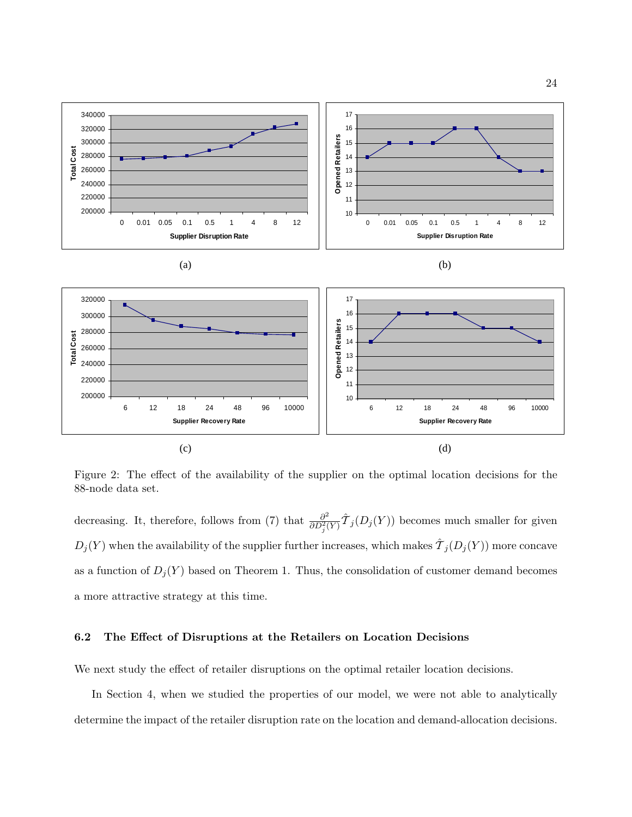

Figure 2: The effect of the availability of the supplier on the optimal location decisions for the 88-node data set.

decreasing. It, therefore, follows from (7) that  $\frac{\partial^2}{\partial D^2}$  $\frac{\partial^2}{\partial D_j^2(Y)} \hat{\mathcal{T}}_j(D_j(Y))$  becomes much smaller for given  $D_j(Y)$  when the availability of the supplier further increases, which makes  $\hat{\mathcal{T}}_j(D_j(Y))$  more concave as a function of  $D_j(Y)$  based on Theorem 1. Thus, the consolidation of customer demand becomes a more attractive strategy at this time.

### 6.2 The Effect of Disruptions at the Retailers on Location Decisions

We next study the effect of retailer disruptions on the optimal retailer location decisions.

In Section 4, when we studied the properties of our model, we were not able to analytically determine the impact of the retailer disruption rate on the location and demand-allocation decisions.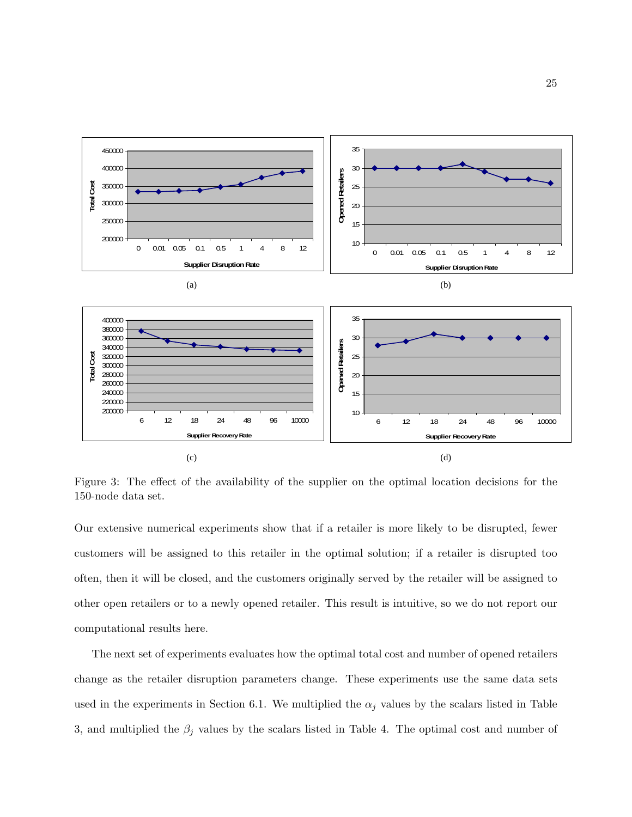

Figure 3: The effect of the availability of the supplier on the optimal location decisions for the 150-node data set.

Our extensive numerical experiments show that if a retailer is more likely to be disrupted, fewer customers will be assigned to this retailer in the optimal solution; if a retailer is disrupted too often, then it will be closed, and the customers originally served by the retailer will be assigned to other open retailers or to a newly opened retailer. This result is intuitive, so we do not report our computational results here.

The next set of experiments evaluates how the optimal total cost and number of opened retailers change as the retailer disruption parameters change. These experiments use the same data sets used in the experiments in Section 6.1. We multiplied the  $\alpha_j$  values by the scalars listed in Table 3, and multiplied the  $\beta_j$  values by the scalars listed in Table 4. The optimal cost and number of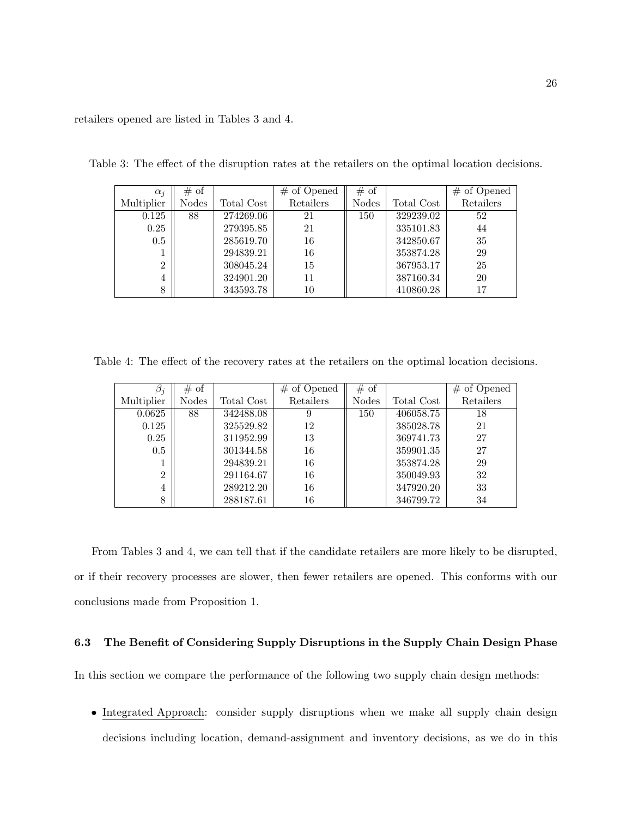retailers opened are listed in Tables 3 and 4.

| $\alpha_i$     | # of         |            | $#$ of Opened | # of         |            | $#$ of Opened |
|----------------|--------------|------------|---------------|--------------|------------|---------------|
| Multiplier     | <b>Nodes</b> | Total Cost | Retailers     | <b>Nodes</b> | Total Cost | Retailers     |
| 0.125          | 88           | 274269.06  | 21            | 150          | 329239.02  | 52            |
| 0.25           |              | 279395.85  | 21            |              | 335101.83  | 44            |
| 0.5            |              | 285619.70  | 16            |              | 342850.67  | 35            |
|                |              | 294839.21  | 16            |              | 353874.28  | 29            |
| $\overline{2}$ |              | 308045.24  | 15            |              | 367953.17  | 25            |
| 4              |              | 324901.20  | 11            |              | 387160.34  | 20            |
| 8              |              | 343593.78  | 10            |              | 410860.28  | 17            |

Table 3: The effect of the disruption rates at the retailers on the optimal location decisions.

Table 4: The effect of the recovery rates at the retailers on the optimal location decisions.

| $\beta_i$      | # of  |            | $#$ of Opened | # of  |            | $#$ of Opened |
|----------------|-------|------------|---------------|-------|------------|---------------|
| Multiplier     | Nodes | Total Cost | Retailers     | Nodes | Total Cost | Retailers     |
| 0.0625         | 88    | 342488.08  | 9             | 150   | 406058.75  | 18            |
| 0.125          |       | 325529.82  | 12            |       | 385028.78  | 21            |
| 0.25           |       | 311952.99  | 13            |       | 369741.73  | 27            |
| 0.5            |       | 301344.58  | 16            |       | 359901.35  | 27            |
|                |       | 294839.21  | 16            |       | 353874.28  | 29            |
| $\overline{2}$ |       | 291164.67  | 16            |       | 350049.93  | 32            |
| 4              |       | 289212.20  | 16            |       | 347920.20  | 33            |
| 8              |       | 288187.61  | 16            |       | 346799.72  | 34            |

From Tables 3 and 4, we can tell that if the candidate retailers are more likely to be disrupted, or if their recovery processes are slower, then fewer retailers are opened. This conforms with our conclusions made from Proposition 1.

#### 6.3 The Benefit of Considering Supply Disruptions in the Supply Chain Design Phase

In this section we compare the performance of the following two supply chain design methods:

• Integrated Approach: consider supply disruptions when we make all supply chain design decisions including location, demand-assignment and inventory decisions, as we do in this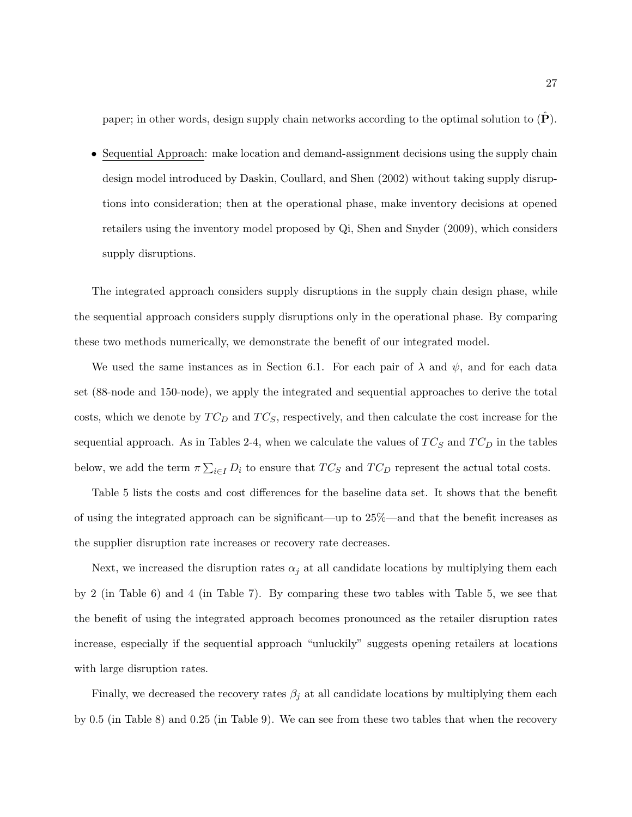paper; in other words, design supply chain networks according to the optimal solution to  $(\dot{\mathbf{P}})$ .

• Sequential Approach: make location and demand-assignment decisions using the supply chain design model introduced by Daskin, Coullard, and Shen (2002) without taking supply disruptions into consideration; then at the operational phase, make inventory decisions at opened retailers using the inventory model proposed by Qi, Shen and Snyder (2009), which considers supply disruptions.

The integrated approach considers supply disruptions in the supply chain design phase, while the sequential approach considers supply disruptions only in the operational phase. By comparing these two methods numerically, we demonstrate the benefit of our integrated model.

We used the same instances as in Section 6.1. For each pair of  $\lambda$  and  $\psi$ , and for each data set (88-node and 150-node), we apply the integrated and sequential approaches to derive the total costs, which we denote by  $TC_D$  and  $TC_S$ , respectively, and then calculate the cost increase for the sequential approach. As in Tables 2-4, when we calculate the values of  $TC_S$  and  $TC_D$  in the tables below, we add the term  $\pi \sum_{i \in I} D_i$  to ensure that  $TC_S$  and  $TC_D$  represent the actual total costs.

Table 5 lists the costs and cost differences for the baseline data set. It shows that the benefit of using the integrated approach can be significant—up to 25%—and that the benefit increases as the supplier disruption rate increases or recovery rate decreases.

Next, we increased the disruption rates  $\alpha_i$  at all candidate locations by multiplying them each by 2 (in Table 6) and 4 (in Table 7). By comparing these two tables with Table 5, we see that the benefit of using the integrated approach becomes pronounced as the retailer disruption rates increase, especially if the sequential approach "unluckily" suggests opening retailers at locations with large disruption rates.

Finally, we decreased the recovery rates  $\beta_j$  at all candidate locations by multiplying them each by 0.5 (in Table 8) and 0.25 (in Table 9). We can see from these two tables that when the recovery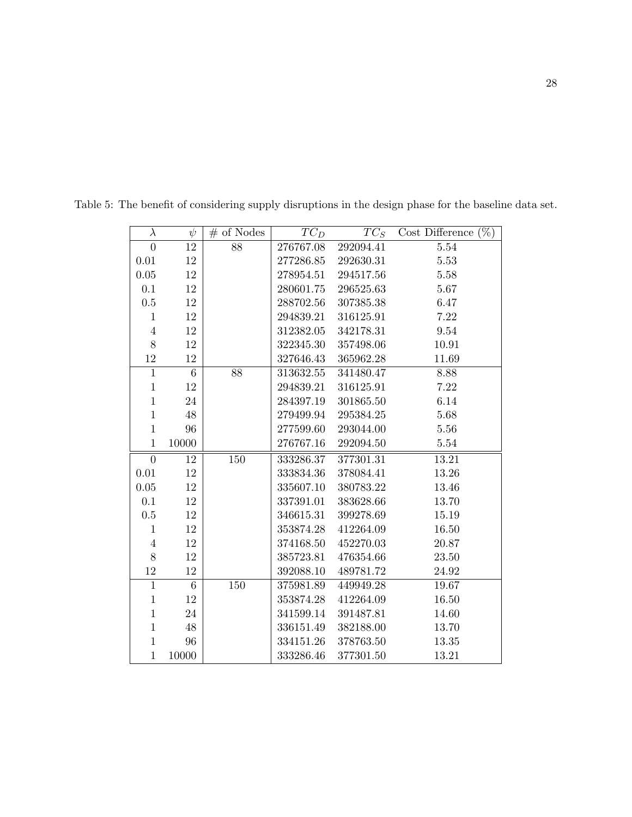| $\lambda$      | $\psi$          | $#$ of Nodes | $TC_D$    | $TC_S$    | Cost Difference $(\%)$ |
|----------------|-----------------|--------------|-----------|-----------|------------------------|
| $\overline{0}$ | 12              | 88           | 276767.08 | 292094.41 | 5.54                   |
| 0.01           | 12              |              | 277286.85 | 292630.31 | 5.53                   |
| 0.05           | 12              |              | 278954.51 | 294517.56 | 5.58                   |
| 0.1            | 12              |              | 280601.75 | 296525.63 | 5.67                   |
| 0.5            | 12              |              | 288702.56 | 307385.38 | 6.47                   |
| $\mathbf{1}$   | 12              |              | 294839.21 | 316125.91 | 7.22                   |
| $\sqrt{4}$     | 12              |              | 312382.05 | 342178.31 | 9.54                   |
| 8              | 12              |              | 322345.30 | 357498.06 | 10.91                  |
| $12\,$         | 12              |              | 327646.43 | 365962.28 | 11.69                  |
| $\mathbf{1}$   | $6\phantom{.}6$ | 88           | 313632.55 | 341480.47 | 8.88                   |
| $\mathbf{1}$   | 12              |              | 294839.21 | 316125.91 | 7.22                   |
| $\mathbf{1}$   | 24              |              | 284397.19 | 301865.50 | 6.14                   |
| $\mathbf{1}$   | 48              |              | 279499.94 | 295384.25 | 5.68                   |
| $\mathbf{1}$   | 96              |              | 277599.60 | 293044.00 | 5.56                   |
| $\mathbf{1}$   | 10000           |              | 276767.16 | 292094.50 | 5.54                   |
| $\overline{0}$ | 12              | 150          | 333286.37 | 377301.31 | 13.21                  |
| 0.01           | 12              |              | 333834.36 | 378084.41 | 13.26                  |
| 0.05           | 12              |              | 335607.10 | 380783.22 | 13.46                  |
| 0.1            | 12              |              | 337391.01 | 383628.66 | 13.70                  |
| $0.5\,$        | 12              |              | 346615.31 | 399278.69 | 15.19                  |
| $\mathbf{1}$   | 12              |              | 353874.28 | 412264.09 | 16.50                  |
| $\overline{4}$ | 12              |              | 374168.50 | 452270.03 | 20.87                  |
| 8              | 12              |              | 385723.81 | 476354.66 | 23.50                  |
| 12             | 12              |              | 392088.10 | 489781.72 | 24.92                  |
| $\mathbf{1}$   | $6\phantom{.}6$ | 150          | 375981.89 | 449949.28 | 19.67                  |
| $\mathbf{1}$   | 12              |              | 353874.28 | 412264.09 | 16.50                  |
| $\mathbf{1}$   | 24              |              | 341599.14 | 391487.81 | 14.60                  |
| $\mathbf{1}$   | 48              |              | 336151.49 | 382188.00 | 13.70                  |
| $\mathbf{1}$   | 96              |              | 334151.26 | 378763.50 | 13.35                  |
| $\mathbf{1}$   | 10000           |              | 333286.46 | 377301.50 | 13.21                  |

Table 5: The benefit of considering supply disruptions in the design phase for the baseline data set.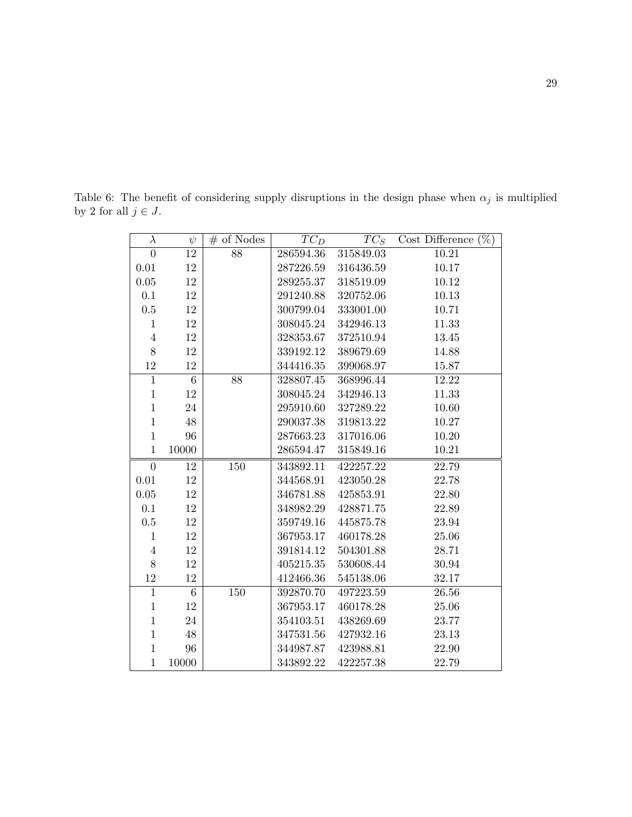Table 6: The benefit of considering supply disruptions in the design phase when  $\alpha_j$  is multiplied by 2 for all  $j\in J.$ 

| $\lambda$      | $\psi$         | $#$ of Nodes     | $TC_D$    | $TC_S$    | Cost Difference $(\%)$ |
|----------------|----------------|------------------|-----------|-----------|------------------------|
| $\overline{0}$ | 12             | 88               | 286594.36 | 315849.03 | 10.21                  |
| 0.01           | 12             |                  | 287226.59 | 316436.59 | 10.17                  |
| 0.05           | 12             |                  | 289255.37 | 318519.09 | 10.12                  |
| 0.1            | $12\,$         |                  | 291240.88 | 320752.06 | 10.13                  |
| $0.5\,$        | 12             |                  | 300799.04 | 333001.00 | 10.71                  |
| $\mathbf{1}$   | 12             |                  | 308045.24 | 342946.13 | 11.33                  |
| $\overline{4}$ | 12             |                  | 328353.67 | 372510.94 | 13.45                  |
| 8              | 12             |                  | 339192.12 | 389679.69 | 14.88                  |
| $12\,$         | 12             |                  | 344416.35 | 399068.97 | 15.87                  |
| $\mathbf{1}$   | $\,6\,$        | 88               | 328807.45 | 368996.44 | 12.22                  |
| $\mathbf{1}$   | 12             |                  | 308045.24 | 342946.13 | 11.33                  |
| $\mathbf{1}$   | 24             |                  | 295910.60 | 327289.22 | 10.60                  |
| $\mathbf{1}$   | 48             |                  | 290037.38 | 319813.22 | 10.27                  |
| $\mathbf{1}$   | 96             |                  | 287663.23 | 317016.06 | 10.20                  |
| $\mathbf{1}$   | 10000          |                  | 286594.47 | 315849.16 | 10.21                  |
| $\theta$       | 12             | 150              | 343892.11 | 422257.22 | 22.79                  |
| 0.01           | 12             |                  | 344568.91 | 423050.28 | 22.78                  |
| $0.05\,$       | $12\,$         |                  | 346781.88 | 425853.91 | 22.80                  |
| $0.1\,$        | 12             |                  | 348982.29 | 428871.75 | 22.89                  |
| 0.5            | 12             |                  | 359749.16 | 445875.78 | 23.94                  |
| $\mathbf{1}$   | 12             |                  | 367953.17 | 460178.28 | 25.06                  |
| $\overline{4}$ | 12             |                  | 391814.12 | 504301.88 | 28.71                  |
| $8\,$          | 12             |                  | 405215.35 | 530608.44 | 30.94                  |
| 12             | 12             |                  | 412466.36 | 545138.06 | 32.17                  |
| $\overline{1}$ | $\overline{6}$ | $\overline{150}$ | 392870.70 | 497223.59 | 26.56                  |
| $\mathbf{1}$   | 12             |                  | 367953.17 | 460178.28 | 25.06                  |
| $\mathbf{1}$   | 24             |                  | 354103.51 | 438269.69 | 23.77                  |
| $\mathbf{1}$   | 48             |                  | 347531.56 | 427932.16 | 23.13                  |
| $\mathbf{1}$   | 96             |                  | 344987.87 | 423988.81 | 22.90                  |
| $\mathbf{1}$   | 10000          |                  | 343892.22 | 422257.38 | 22.79                  |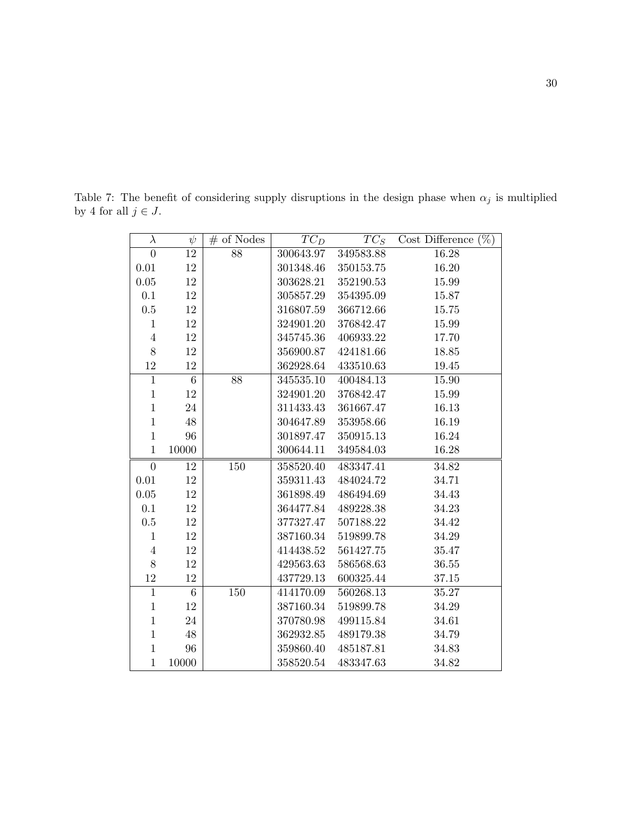Table 7: The benefit of considering supply disruptions in the design phase when  $\alpha_j$  is multiplied by 4 for all  $j\in J.$ 

| $\lambda$      | $\psi$          | $#$ of Nodes | $TC_D$    | $TC_S$    | $(\%)$<br>Cost Difference |
|----------------|-----------------|--------------|-----------|-----------|---------------------------|
| $\overline{0}$ | 12              | 88           | 300643.97 | 349583.88 | 16.28                     |
| 0.01           | 12              |              | 301348.46 | 350153.75 | 16.20                     |
| 0.05           | 12              |              | 303628.21 | 352190.53 | 15.99                     |
| 0.1            | 12              |              | 305857.29 | 354395.09 | 15.87                     |
| $0.5\,$        | 12              |              | 316807.59 | 366712.66 | 15.75                     |
| $\mathbf{1}$   | 12              |              | 324901.20 | 376842.47 | 15.99                     |
| $\overline{4}$ | 12              |              | 345745.36 | 406933.22 | 17.70                     |
| 8              | 12              |              | 356900.87 | 424181.66 | 18.85                     |
| 12             | 12              |              | 362928.64 | 433510.63 | $19.45\,$                 |
| $\mathbf{1}$   | $6\phantom{.}6$ | 88           | 345535.10 | 400484.13 | 15.90                     |
| $\mathbf 1$    | 12              |              | 324901.20 | 376842.47 | 15.99                     |
| $\mathbf{1}$   | 24              |              | 311433.43 | 361667.47 | 16.13                     |
| $\mathbf{1}$   | 48              |              | 304647.89 | 353958.66 | 16.19                     |
| $\mathbf{1}$   | 96              |              | 301897.47 | 350915.13 | 16.24                     |
| $\mathbf{1}$   | 10000           |              | 300644.11 | 349584.03 | $16.28\,$                 |
| $\Omega$       | 12              | 150          | 358520.40 | 483347.41 | 34.82                     |
| $0.01\,$       | 12              |              | 359311.43 | 484024.72 | 34.71                     |
| 0.05           | 12              |              | 361898.49 | 486494.69 | 34.43                     |
| 0.1            | 12              |              | 364477.84 | 489228.38 | 34.23                     |
| 0.5            | 12              |              | 377327.47 | 507188.22 | 34.42                     |
| $\mathbf{1}$   | 12              |              | 387160.34 | 519899.78 | 34.29                     |
| $\overline{4}$ | 12              |              | 414438.52 | 561427.75 | 35.47                     |
| 8              | 12              |              | 429563.63 | 586568.63 | 36.55                     |
| 12             | 12              |              | 437729.13 | 600325.44 | 37.15                     |
| $\mathbf{1}$   | $6\overline{6}$ | 150          | 414170.09 | 560268.13 | 35.27                     |
| $\mathbf{1}$   | 12              |              | 387160.34 | 519899.78 | 34.29                     |
| $\mathbf{1}$   | 24              |              | 370780.98 | 499115.84 | 34.61                     |
| $\mathbf{1}$   | 48              |              | 362932.85 | 489179.38 | 34.79                     |
| $\mathbf{1}$   | 96              |              | 359860.40 | 485187.81 | 34.83                     |
| $\mathbf{1}$   | 10000           |              | 358520.54 | 483347.63 | 34.82                     |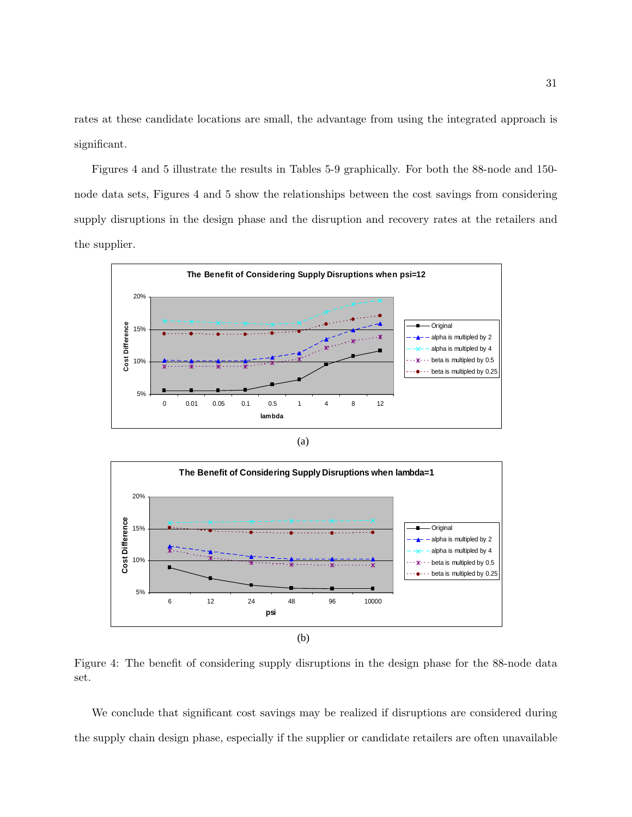rates at these candidate locations are small, the advantage from using the integrated approach is significant.

Figures 4 and 5 illustrate the results in Tables 5-9 graphically. For both the 88-node and 150 node data sets, Figures 4 and 5 show the relationships between the cost savings from considering supply disruptions in the design phase and the disruption and recovery rates at the retailers and the supplier.



(a)



Figure 4: The benefit of considering supply disruptions in the design phase for the 88-node data set.

We conclude that significant cost savings may be realized if disruptions are considered during the supply chain design phase, especially if the supplier or candidate retailers are often unavailable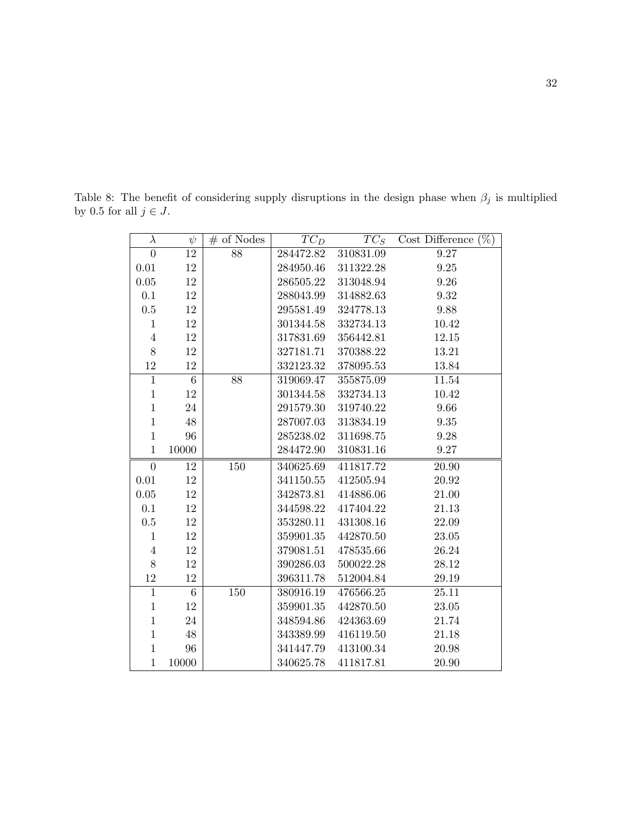Table 8: The benefit of considering supply disruptions in the design phase when  $\beta_j$  is multiplied by 0.5 for all  $j\in J.$ 

| $\lambda$      | $\psi$          | $#$ of Nodes | $TC_D$    | $TC_S$    | Cost Difference $(\%)$ |
|----------------|-----------------|--------------|-----------|-----------|------------------------|
| $\overline{0}$ | 12              | 88           | 284472.82 | 310831.09 | 9.27                   |
| 0.01           | 12              |              | 284950.46 | 311322.28 | $\,9.25$               |
| $0.05\,$       | 12              |              | 286505.22 | 313048.94 | $9.26\,$               |
| 0.1            | 12              |              | 288043.99 | 314882.63 | $\boldsymbol{9.32}$    |
| $0.5\,$        | 12              |              | 295581.49 | 324778.13 | 9.88                   |
| $\mathbf{1}$   | 12              |              | 301344.58 | 332734.13 | 10.42                  |
| $\overline{4}$ | 12              |              | 317831.69 | 356442.81 | 12.15                  |
| 8              | 12              |              | 327181.71 | 370388.22 | 13.21                  |
| 12             | 12              |              | 332123.32 | 378095.53 | 13.84                  |
| $\mathbf{1}$   | $\overline{6}$  | 88           | 319069.47 | 355875.09 | 11.54                  |
| $\mathbf{1}$   | 12              |              | 301344.58 | 332734.13 | 10.42                  |
| $\mathbf{1}$   | 24              |              | 291579.30 | 319740.22 | 9.66                   |
| $\mathbf{1}$   | $48\,$          |              | 287007.03 | 313834.19 | 9.35                   |
| $\mathbf{1}$   | 96              |              | 285238.02 | 311698.75 | 9.28                   |
| $\mathbf{1}$   | 10000           |              | 284472.90 | 310831.16 | 9.27                   |
| $\overline{0}$ | 12              | 150          | 340625.69 | 411817.72 | 20.90                  |
| 0.01           | 12              |              | 341150.55 | 412505.94 | 20.92                  |
| 0.05           | 12              |              | 342873.81 | 414886.06 | 21.00                  |
| 0.1            | 12              |              | 344598.22 | 417404.22 | 21.13                  |
| $0.5\,$        | 12              |              | 353280.11 | 431308.16 | 22.09                  |
| $\mathbf{1}$   | 12              |              | 359901.35 | 442870.50 | $23.05\,$              |
| $\overline{4}$ | 12              |              | 379081.51 | 478535.66 | 26.24                  |
| 8              | 12              |              | 390286.03 | 500022.28 | 28.12                  |
| 12             | 12              |              | 396311.78 | 512004.84 | 29.19                  |
| $\mathbf{1}$   | $6\overline{6}$ | 150          | 380916.19 | 476566.25 | 25.11                  |
| $\mathbf{1}$   | 12              |              | 359901.35 | 442870.50 | 23.05                  |
| $\mathbf{1}$   | 24              |              | 348594.86 | 424363.69 | 21.74                  |
| $\mathbf{1}$   | 48              |              | 343389.99 | 416119.50 | 21.18                  |
| $\mathbf{1}$   | 96              |              | 341447.79 | 413100.34 | 20.98                  |
| $\mathbf{1}$   | 10000           |              | 340625.78 | 411817.81 | 20.90                  |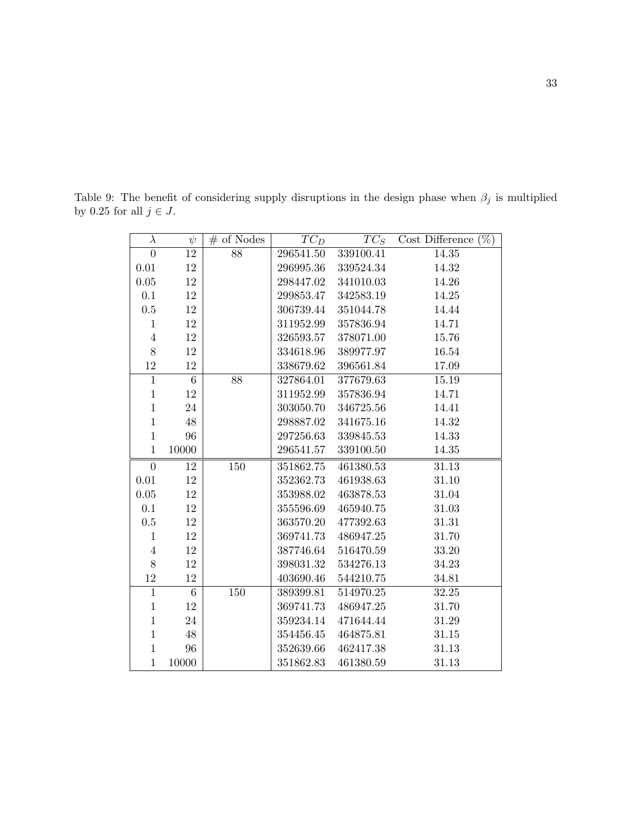Table 9: The benefit of considering supply disruptions in the design phase when  $\beta_j$  is multiplied by 0.25 for all  $j\in J.$ 

| $\lambda$      | $\psi$          | $#$ of Nodes | $TC_D$    | $TC_S$    | Cost Difference $(\%)$ |
|----------------|-----------------|--------------|-----------|-----------|------------------------|
| $\theta$       | 12              | 88           | 296541.50 | 339100.41 | 14.35                  |
| 0.01           | 12              |              | 296995.36 | 339524.34 | 14.32                  |
| $0.05\,$       | 12              |              | 298447.02 | 341010.03 | 14.26                  |
| $0.1\,$        | 12              |              | 299853.47 | 342583.19 | $14.25\,$              |
| $0.5\,$        | 12              |              | 306739.44 | 351044.78 | 14.44                  |
| $\mathbf 1$    | 12              |              | 311952.99 | 357836.94 | 14.71                  |
| $\overline{4}$ | 12              |              | 326593.57 | 378071.00 | 15.76                  |
| 8              | 12              |              | 334618.96 | 389977.97 | 16.54                  |
| 12             | 12              |              | 338679.62 | 396561.84 | 17.09                  |
| $\mathbf{1}$   | $6\phantom{.}6$ | 88           | 327864.01 | 377679.63 | 15.19                  |
| $\mathbf{1}$   | 12              |              | 311952.99 | 357836.94 | 14.71                  |
| $\mathbf{1}$   | 24              |              | 303050.70 | 346725.56 | 14.41                  |
| $\mathbf{1}$   | 48              |              | 298887.02 | 341675.16 | 14.32                  |
| $\mathbf{1}$   | 96              |              | 297256.63 | 339845.53 | 14.33                  |
| $\mathbf{1}$   | 10000           |              | 296541.57 | 339100.50 | $14.35\,$              |
| $\theta$       | 12              | 150          | 351862.75 | 461380.53 | 31.13                  |
| 0.01           | 12              |              | 352362.73 | 461938.63 | 31.10                  |
| $0.05\,$       | 12              |              | 353988.02 | 463878.53 | $31.04\,$              |
| 0.1            | 12              |              | 355596.69 | 465940.75 | 31.03                  |
| $0.5\,$        | 12              |              | 363570.20 | 477392.63 | 31.31                  |
| $\mathbf{1}$   | 12              |              | 369741.73 | 486947.25 | 31.70                  |
| $\overline{4}$ | 12              |              | 387746.64 | 516470.59 | 33.20                  |
| 8              | 12              |              | 398031.32 | 534276.13 | 34.23                  |
| 12             | 12              |              | 403690.46 | 544210.75 | 34.81                  |
| $\mathbf{1}$   | $6\overline{6}$ | 150          | 389399.81 | 514970.25 | 32.25                  |
| $\mathbf{1}$   | 12              |              | 369741.73 | 486947.25 | 31.70                  |
| $\mathbf{1}$   | 24              |              | 359234.14 | 471644.44 | 31.29                  |
| $\mathbf{1}$   | 48              |              | 354456.45 | 464875.81 | 31.15                  |
| $\mathbf{1}$   | 96              |              | 352639.66 | 462417.38 | 31.13                  |
| $\mathbf{1}$   | 10000           |              | 351862.83 | 461380.59 | 31.13                  |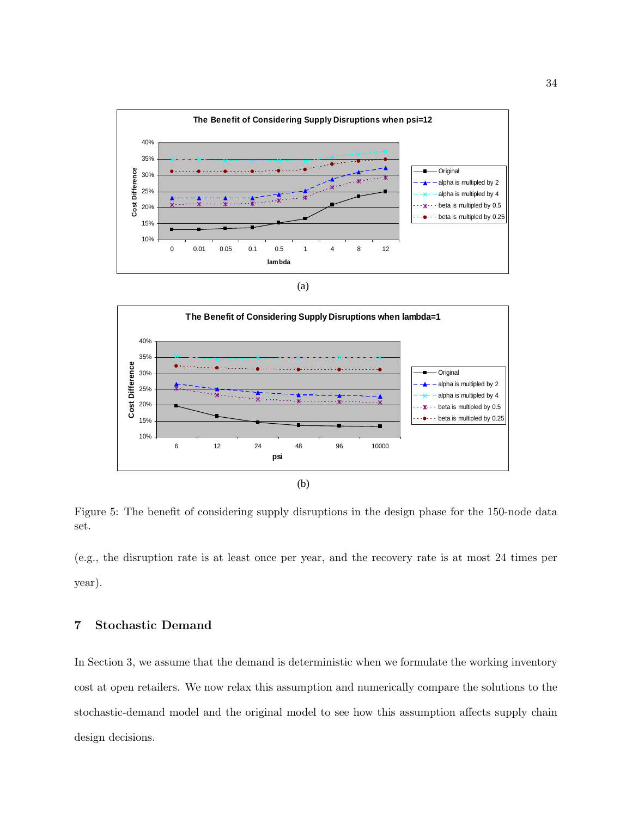

(a)



Figure 5: The benefit of considering supply disruptions in the design phase for the 150-node data set.

(e.g., the disruption rate is at least once per year, and the recovery rate is at most 24 times per year).

## 7 Stochastic Demand

In Section 3, we assume that the demand is deterministic when we formulate the working inventory cost at open retailers. We now relax this assumption and numerically compare the solutions to the stochastic-demand model and the original model to see how this assumption affects supply chain design decisions.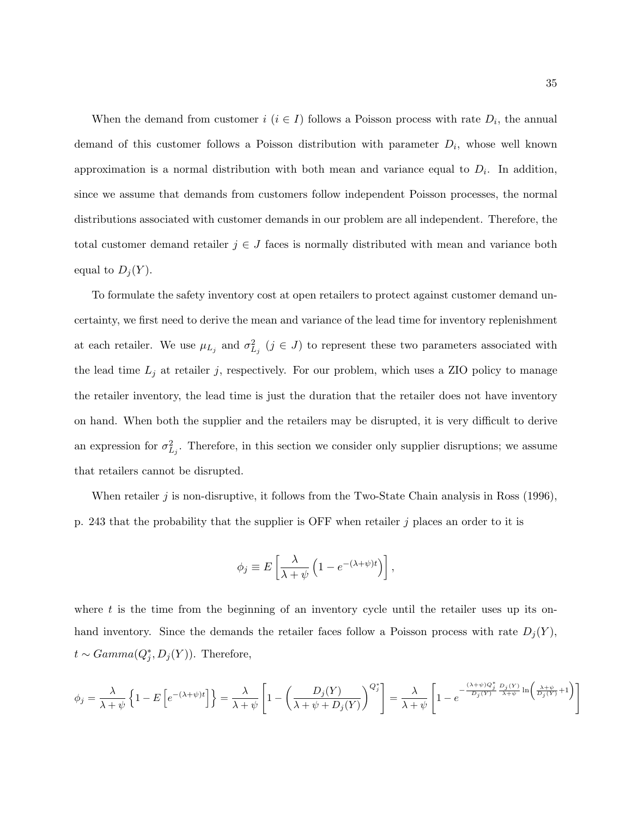When the demand from customer  $i$   $(i \in I)$  follows a Poisson process with rate  $D_i$ , the annual demand of this customer follows a Poisson distribution with parameter  $D_i$ , whose well known approximation is a normal distribution with both mean and variance equal to  $D_i$ . In addition, since we assume that demands from customers follow independent Poisson processes, the normal distributions associated with customer demands in our problem are all independent. Therefore, the total customer demand retailer  $j \in J$  faces is normally distributed with mean and variance both equal to  $D_j(Y)$ .

To formulate the safety inventory cost at open retailers to protect against customer demand uncertainty, we first need to derive the mean and variance of the lead time for inventory replenishment at each retailer. We use  $\mu_{L_j}$  and  $\sigma_{L_j}^2$   $(j \in J)$  to represent these two parameters associated with the lead time  $L_j$  at retailer j, respectively. For our problem, which uses a ZIO policy to manage the retailer inventory, the lead time is just the duration that the retailer does not have inventory on hand. When both the supplier and the retailers may be disrupted, it is very difficult to derive an expression for  $\sigma_{L_j}^2$ . Therefore, in this section we consider only supplier disruptions; we assume that retailers cannot be disrupted.

When retailer j is non-disruptive, it follows from the Two-State Chain analysis in Ross  $(1996)$ , p. 243 that the probability that the supplier is OFF when retailer  $j$  places an order to it is

$$
\phi_j \equiv E\left[\frac{\lambda}{\lambda + \psi} \left(1 - e^{-(\lambda + \psi)t}\right)\right],
$$

where  $t$  is the time from the beginning of an inventory cycle until the retailer uses up its onhand inventory. Since the demands the retailer faces follow a Poisson process with rate  $D_j(Y)$ ,  $t \sim Gamma(Q_j^*, D_j(Y)).$  Therefore,

$$
\phi_j = \frac{\lambda}{\lambda + \psi} \left\{ 1 - E \left[ e^{-(\lambda + \psi)t} \right] \right\} = \frac{\lambda}{\lambda + \psi} \left[ 1 - \left( \frac{D_j(Y)}{\lambda + \psi + D_j(Y)} \right)^{Q_j^*} \right] = \frac{\lambda}{\lambda + \psi} \left[ 1 - e^{-\frac{(\lambda + \psi)Q_j^*}{D_j(Y)} \frac{D_j(Y)}{\lambda + \psi} \ln \left( \frac{\lambda + \psi}{D_j(Y)} + 1 \right)} \right]
$$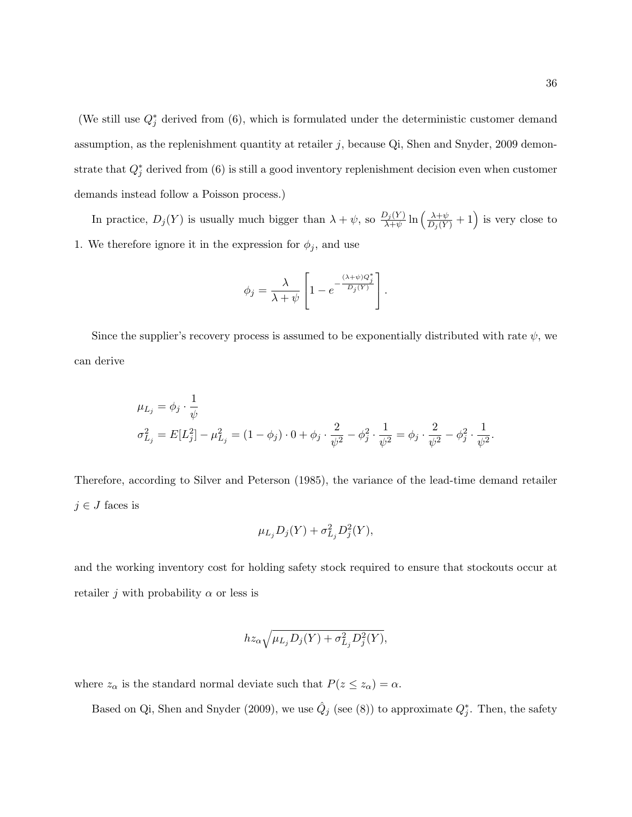(We still use  $Q_j^*$  derived from (6), which is formulated under the deterministic customer demand assumption, as the replenishment quantity at retailer  $j$ , because Qi, Shen and Snyder, 2009 demonstrate that  $Q_j^*$  derived from (6) is still a good inventory replenishment decision even when customer demands instead follow a Poisson process.)

In practice,  $D_j(Y)$  is usually much bigger than  $\lambda + \psi$ , so  $\frac{D_j(Y)}{\lambda + \psi}$  $\frac{D_j(Y)}{\lambda + \psi} \ln \left( \frac{\lambda + \psi}{D_j(Y)} \right)$  $\frac{\lambda+\psi}{D_j(Y)}+1$  is very close to 1. We therefore ignore it in the expression for  $\phi_j$ , and use

$$
\phi_j = \frac{\lambda}{\lambda + \psi} \left[ 1 - e^{-\frac{(\lambda + \psi)Q_j^*}{D_j(Y)}} \right].
$$

Since the supplier's recovery process is assumed to be exponentially distributed with rate  $\psi$ , we can derive

$$
\mu_{L_j} = \phi_j \cdot \frac{1}{\psi}
$$
  

$$
\sigma_{L_j}^2 = E[L_j^2] - \mu_{L_j}^2 = (1 - \phi_j) \cdot 0 + \phi_j \cdot \frac{2}{\psi^2} - \phi_j^2 \cdot \frac{1}{\psi^2} = \phi_j \cdot \frac{2}{\psi^2} - \phi_j^2 \cdot \frac{1}{\psi^2}.
$$

Therefore, according to Silver and Peterson (1985), the variance of the lead-time demand retailer  $j \in J$  faces is

$$
\mu_{L_j} D_j(Y) + \sigma_{L_j}^2 D_j^2(Y),
$$

and the working inventory cost for holding safety stock required to ensure that stockouts occur at retailer j with probability  $\alpha$  or less is

$$
hz_{\alpha}\sqrt{\mu_{L_j}D_j(Y)+\sigma_{L_j}^2D_j^2(Y)},
$$

where  $z_{\alpha}$  is the standard normal deviate such that  $P(z \leq z_{\alpha}) = \alpha$ .

Based on Qi, Shen and Snyder (2009), we use  $\hat{Q}_j$  (see (8)) to approximate  $Q_j^*$ . Then, the safety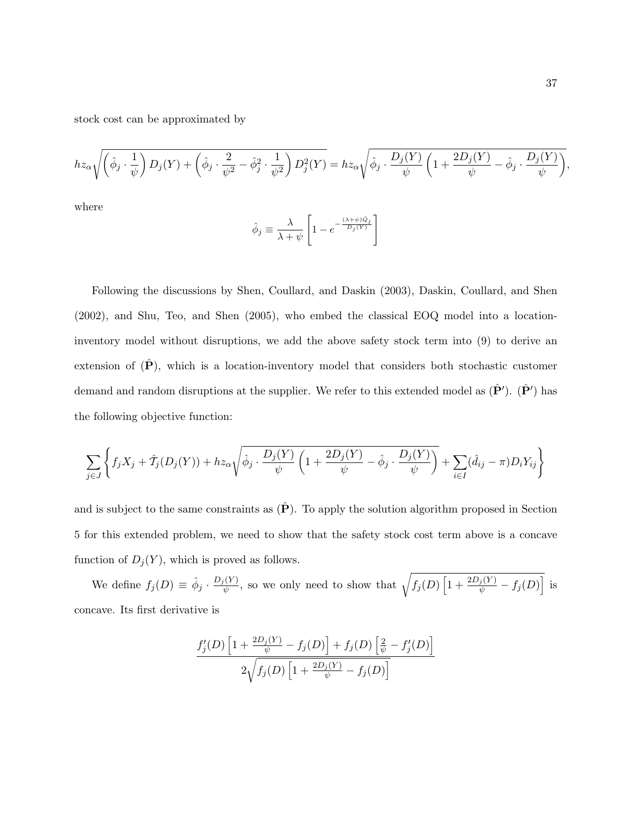stock cost can be approximated by

$$
hz_{\alpha}\sqrt{\left(\hat{\phi}_j\cdot\frac{1}{\psi}\right)D_j(Y)+\left(\hat{\phi}_j\cdot\frac{2}{\psi^2}-\hat{\phi}_j^2\cdot\frac{1}{\psi^2}\right)D_j^2(Y)}=hz_{\alpha}\sqrt{\hat{\phi}_j\cdot\frac{D_j(Y)}{\psi}\left(1+\frac{2D_j(Y)}{\psi}-\hat{\phi}_j\cdot\frac{D_j(Y)}{\psi}\right)},
$$

where

$$
\hat{\phi}_j \equiv \frac{\lambda}{\lambda + \psi} \left[ 1 - e^{-\frac{(\lambda + \psi)\hat{Q}_j}{D_j(Y)}} \right]
$$

Following the discussions by Shen, Coullard, and Daskin (2003), Daskin, Coullard, and Shen (2002), and Shu, Teo, and Shen (2005), who embed the classical EOQ model into a locationinventory model without disruptions, we add the above safety stock term into (9) to derive an extension of  $(\hat{P})$ , which is a location-inventory model that considers both stochastic customer demand and random disruptions at the supplier. We refer to this extended model as  $(\hat{\mathbf{P}}')$ .  $(\hat{\mathbf{P}}')$  has the following objective function:

$$
\sum_{j\in J}\left\{f_jX_j+\hat{T}_j(D_j(Y))+hz_{\alpha}\sqrt{\hat{\phi}_j\cdot\frac{D_j(Y)}{\psi}\left(1+\frac{2D_j(Y)}{\psi}-\hat{\phi}_j\cdot\frac{D_j(Y)}{\psi}\right)}+\sum_{i\in I}(\hat{d}_{ij}-\pi)D_iY_{ij}\right\}
$$

and is subject to the same constraints as  $(\hat{P})$ . To apply the solution algorithm proposed in Section 5 for this extended problem, we need to show that the safety stock cost term above is a concave function of  $D_j(Y)$ , which is proved as follows.

We define  $f_j(D) \equiv \hat{\phi}_j \cdot \frac{D_j(Y)}{N}$  $\frac{f_Y(Y)}{\psi}$ , so we only need to show that  $\sqrt{f_j(D)}$  $\sqrt{1 + \frac{2D_j(Y)}{\psi} - f_j(D)}$  $\frac{1}{1}$ is concave. Its first derivative is

$$
\frac{f_j'(D)\left[1+\frac{2D_j(Y)}{\psi}-f_j(D)\right]+f_j(D)\left[\frac{2}{\psi}-f_j'(D)\right]}{2\sqrt{f_j(D)\left[1+\frac{2D_j(Y)}{\psi}-f_j(D)\right]}}
$$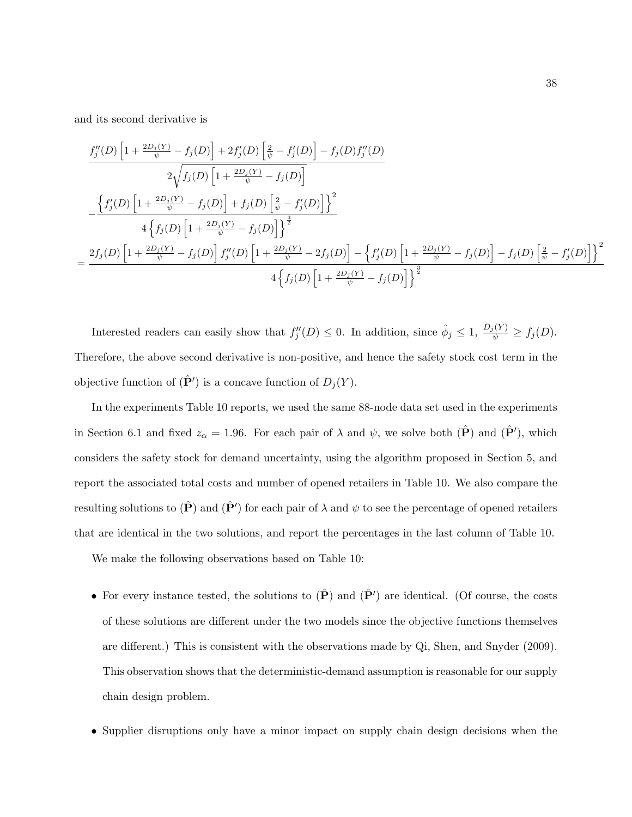and its second derivative is

$$
\frac{f''_j(D)}{2\sqrt{f_j(D)} \left[1 + \frac{2D_j(Y)}{\psi} - f_j(D)\right] + 2f'_j(D) \left[\frac{2}{\psi} - f'_j(D)\right] - f_j(D)f''_j(D)}{2\sqrt{f_j(D)} \left[1 + \frac{2D_j(Y)}{\psi} - f_j(D)\right]}
$$
\n
$$
-\frac{\left\{f'_j(D)\left[1 + \frac{2D_j(Y)}{\psi} - f_j(D)\right] + f_j(D) \left[\frac{2}{\psi} - f'_j(D)\right]\right\}^2}{4\left\{f_j(D)\left[1 + \frac{2D_j(Y)}{\psi} - f_j(D)\right]\right\}^{\frac{3}{2}}}
$$
\n
$$
= \frac{2f_j(D) \left[1 + \frac{2D_j(Y)}{\psi} - f_j(D)\right] f''_j(D) \left[1 + \frac{2D_j(Y)}{\psi} - 2f_j(D)\right] - \left\{f'_j(D) \left[1 + \frac{2D_j(Y)}{\psi} - f_j(D)\right]\right\}^{\frac{3}{2}}}{4\left\{f_j(D) \left[1 + \frac{2D_j(Y)}{\psi} - f_j(D)\right]\right\}^{\frac{3}{2}}}
$$

Interested readers can easily show that  $f''_j(D) \leq 0$ . In addition, since  $\hat{\phi}_j \leq 1$ ,  $\frac{D_j(Y)}{\psi} \geq f_j(D)$ . Therefore, the above second derivative is non-positive, and hence the safety stock cost term in the objective function of  $(\hat{\mathbf{P}}')$  is a concave function of  $D_j(Y)$ .

In the experiments Table 10 reports, we used the same 88-node data set used in the experiments in Section 6.1 and fixed  $z_{\alpha} = 1.96$ . For each pair of  $\lambda$  and  $\psi$ , we solve both  $(\hat{\mathbf{P}})$  and  $(\hat{\mathbf{P}}')$ , which considers the safety stock for demand uncertainty, using the algorithm proposed in Section 5, and report the associated total costs and number of opened retailers in Table 10. We also compare the resulting solutions to  $(\hat{\mathbf{P}})$  and  $(\hat{\mathbf{P}}')$  for each pair of  $\lambda$  and  $\psi$  to see the percentage of opened retailers that are identical in the two solutions, and report the percentages in the last column of Table 10.

We make the following observations based on Table 10:

- For every instance tested, the solutions to  $(\hat{P})$  and  $(\hat{P}')$  are identical. (Of course, the costs of these solutions are different under the two models since the objective functions themselves are different.) This is consistent with the observations made by Qi, Shen, and Snyder (2009). This observation shows that the deterministic-demand assumption is reasonable for our supply chain design problem.
- Supplier disruptions only have a minor impact on supply chain design decisions when the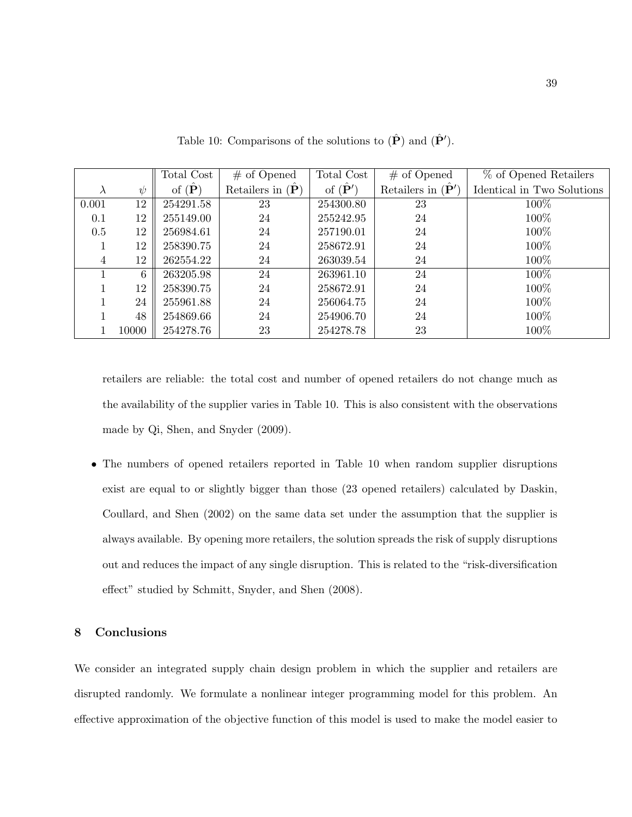|           |        | Total Cost              | $#$ of Opened                     | Total Cost               | $#$ of Opened                      | % of Opened Retailers      |
|-----------|--------|-------------------------|-----------------------------------|--------------------------|------------------------------------|----------------------------|
| $\lambda$ | $\psi$ | of $(\hat{\mathbf{P}})$ | Retailers in $(\hat{\mathbf{P}})$ | of $(\hat{\mathbf{P}}')$ | Retailers in $(\hat{\mathbf{P}}')$ | Identical in Two Solutions |
| 0.001     | 12     | 254291.58               | 23                                | 254300.80                | 23                                 | 100%                       |
| 0.1       | 12     | 255149.00               | 24                                | 255242.95                | 24                                 | 100%                       |
| 0.5       | 12     | 256984.61               | 24                                | 257190.01                | 24                                 | 100%                       |
|           | 12     | 258390.75               | 24                                | 258672.91                | 24                                 | 100%                       |
| 4         | 12     | 262554.22               | 24                                | 263039.54                | 24                                 | 100%                       |
|           | 6      | 263205.98               | 24                                | 263961.10                | 24                                 | 100%                       |
|           | 12     | 258390.75               | 24                                | 258672.91                | 24                                 | 100%                       |
|           | 24     | 255961.88               | 24                                | 256064.75                | 24                                 | 100%                       |
|           | 48     | 254869.66               | 24                                | 254906.70                | 24                                 | 100%                       |
|           | 10000  | 254278.76               | 23                                | 254278.78                | 23                                 | 100%                       |

Table 10: Comparisons of the solutions to  $(\hat{\mathbf{P}})$  and  $(\hat{\mathbf{P}}')$ .

retailers are reliable: the total cost and number of opened retailers do not change much as the availability of the supplier varies in Table 10. This is also consistent with the observations made by Qi, Shen, and Snyder (2009).

• The numbers of opened retailers reported in Table 10 when random supplier disruptions exist are equal to or slightly bigger than those (23 opened retailers) calculated by Daskin, Coullard, and Shen (2002) on the same data set under the assumption that the supplier is always available. By opening more retailers, the solution spreads the risk of supply disruptions out and reduces the impact of any single disruption. This is related to the "risk-diversification effect" studied by Schmitt, Snyder, and Shen (2008).

## 8 Conclusions

We consider an integrated supply chain design problem in which the supplier and retailers are disrupted randomly. We formulate a nonlinear integer programming model for this problem. An effective approximation of the objective function of this model is used to make the model easier to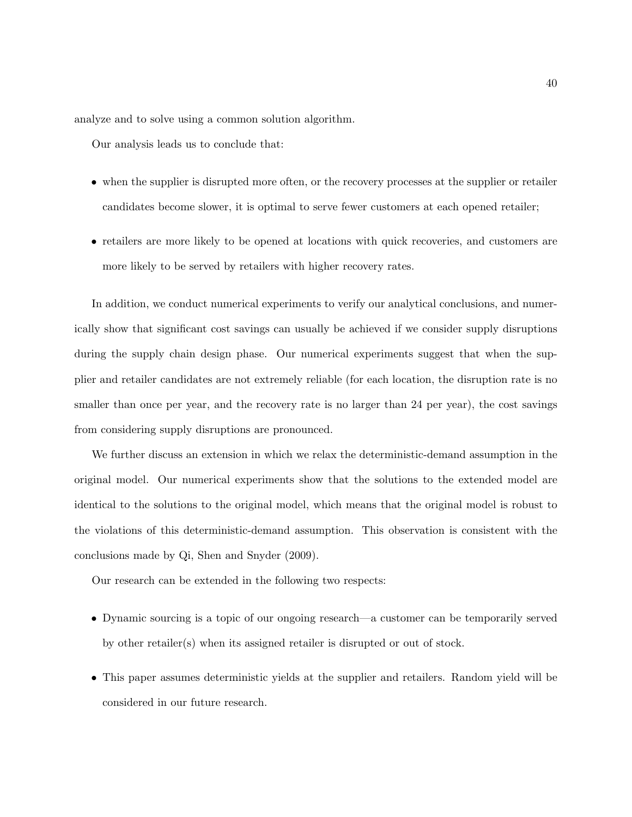analyze and to solve using a common solution algorithm.

Our analysis leads us to conclude that:

- when the supplier is disrupted more often, or the recovery processes at the supplier or retailer candidates become slower, it is optimal to serve fewer customers at each opened retailer;
- retailers are more likely to be opened at locations with quick recoveries, and customers are more likely to be served by retailers with higher recovery rates.

In addition, we conduct numerical experiments to verify our analytical conclusions, and numerically show that significant cost savings can usually be achieved if we consider supply disruptions during the supply chain design phase. Our numerical experiments suggest that when the supplier and retailer candidates are not extremely reliable (for each location, the disruption rate is no smaller than once per year, and the recovery rate is no larger than 24 per year), the cost savings from considering supply disruptions are pronounced.

We further discuss an extension in which we relax the deterministic-demand assumption in the original model. Our numerical experiments show that the solutions to the extended model are identical to the solutions to the original model, which means that the original model is robust to the violations of this deterministic-demand assumption. This observation is consistent with the conclusions made by Qi, Shen and Snyder (2009).

Our research can be extended in the following two respects:

- Dynamic sourcing is a topic of our ongoing research—a customer can be temporarily served by other retailer(s) when its assigned retailer is disrupted or out of stock.
- This paper assumes deterministic yields at the supplier and retailers. Random yield will be considered in our future research.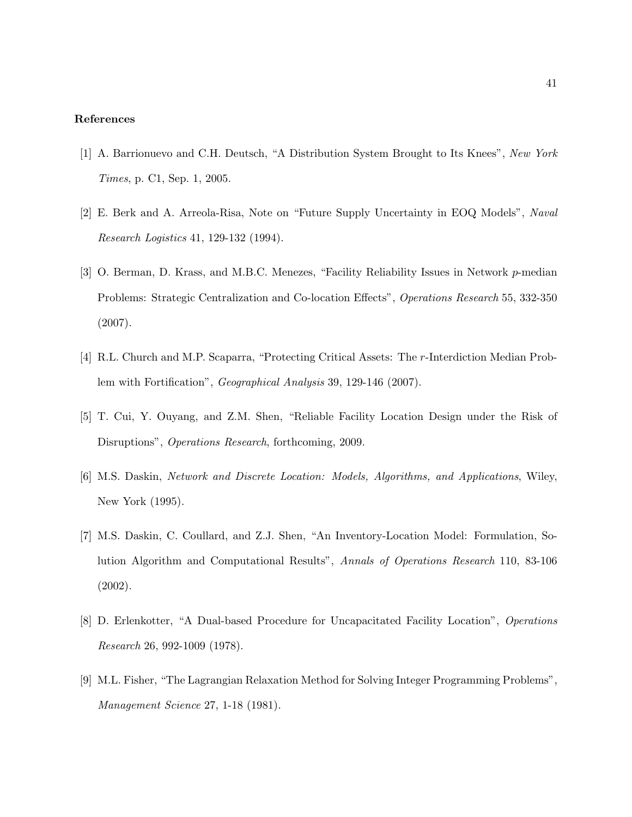#### References

- [1] A. Barrionuevo and C.H. Deutsch, "A Distribution System Brought to Its Knees", New York Times, p. C1, Sep. 1, 2005.
- [2] E. Berk and A. Arreola-Risa, Note on "Future Supply Uncertainty in EOQ Models", Naval Research Logistics 41, 129-132 (1994).
- [3] O. Berman, D. Krass, and M.B.C. Menezes, "Facility Reliability Issues in Network p-median Problems: Strategic Centralization and Co-location Effects", Operations Research 55, 332-350 (2007).
- [4] R.L. Church and M.P. Scaparra, "Protecting Critical Assets: The r-Interdiction Median Problem with Fortification", Geographical Analysis 39, 129-146 (2007).
- [5] T. Cui, Y. Ouyang, and Z.M. Shen, "Reliable Facility Location Design under the Risk of Disruptions", Operations Research, forthcoming, 2009.
- [6] M.S. Daskin, Network and Discrete Location: Models, Algorithms, and Applications, Wiley, New York (1995).
- [7] M.S. Daskin, C. Coullard, and Z.J. Shen, "An Inventory-Location Model: Formulation, Solution Algorithm and Computational Results", Annals of Operations Research 110, 83-106 (2002).
- [8] D. Erlenkotter, "A Dual-based Procedure for Uncapacitated Facility Location", Operations Research 26, 992-1009 (1978).
- [9] M.L. Fisher, "The Lagrangian Relaxation Method for Solving Integer Programming Problems", Management Science 27, 1-18 (1981).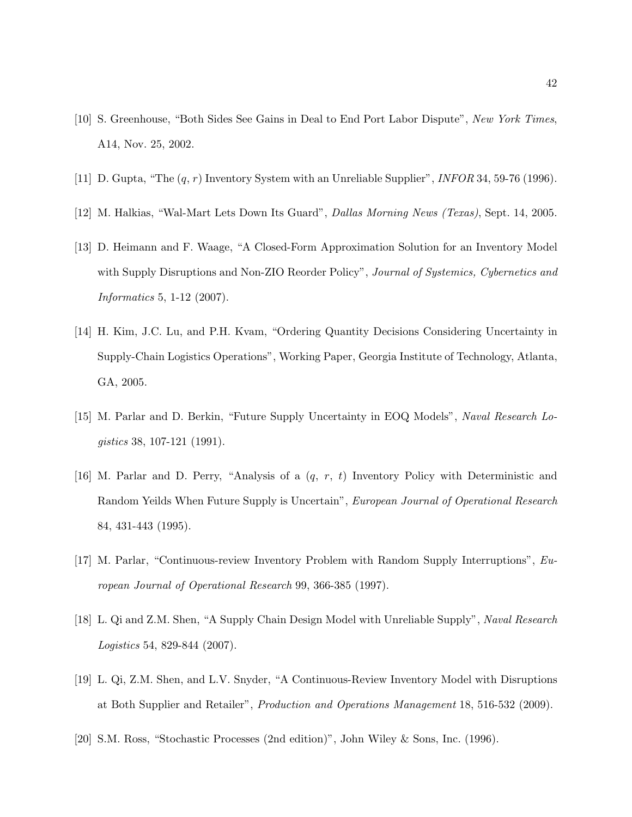- [10] S. Greenhouse, "Both Sides See Gains in Deal to End Port Labor Dispute", New York Times, A14, Nov. 25, 2002.
- [11] D. Gupta, "The  $(q, r)$  Inventory System with an Unreliable Supplier", *INFOR* 34, 59-76 (1996).
- [12] M. Halkias, "Wal-Mart Lets Down Its Guard", Dallas Morning News (Texas), Sept. 14, 2005.
- [13] D. Heimann and F. Waage, "A Closed-Form Approximation Solution for an Inventory Model with Supply Disruptions and Non-ZIO Reorder Policy", Journal of Systemics, Cybernetics and Informatics 5, 1-12 (2007).
- [14] H. Kim, J.C. Lu, and P.H. Kvam, "Ordering Quantity Decisions Considering Uncertainty in Supply-Chain Logistics Operations", Working Paper, Georgia Institute of Technology, Atlanta, GA, 2005.
- [15] M. Parlar and D. Berkin, "Future Supply Uncertainty in EOQ Models", Naval Research Logistics 38, 107-121 (1991).
- [16] M. Parlar and D. Perry, "Analysis of a (q, r, t) Inventory Policy with Deterministic and Random Yeilds When Future Supply is Uncertain", European Journal of Operational Research 84, 431-443 (1995).
- [17] M. Parlar, "Continuous-review Inventory Problem with Random Supply Interruptions", European Journal of Operational Research 99, 366-385 (1997).
- [18] L. Qi and Z.M. Shen, "A Supply Chain Design Model with Unreliable Supply", Naval Research Logistics 54, 829-844 (2007).
- [19] L. Qi, Z.M. Shen, and L.V. Snyder, "A Continuous-Review Inventory Model with Disruptions at Both Supplier and Retailer", Production and Operations Management 18, 516-532 (2009).
- [20] S.M. Ross, "Stochastic Processes (2nd edition)", John Wiley & Sons, Inc. (1996).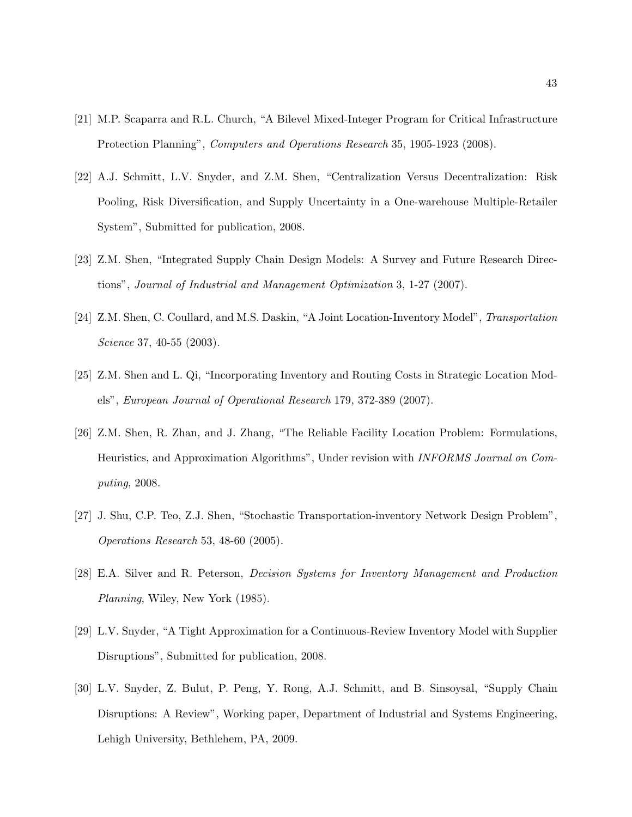- [21] M.P. Scaparra and R.L. Church, "A Bilevel Mixed-Integer Program for Critical Infrastructure Protection Planning", *Computers and Operations Research* 35, 1905-1923 (2008).
- [22] A.J. Schmitt, L.V. Snyder, and Z.M. Shen, "Centralization Versus Decentralization: Risk Pooling, Risk Diversification, and Supply Uncertainty in a One-warehouse Multiple-Retailer System", Submitted for publication, 2008.
- [23] Z.M. Shen, "Integrated Supply Chain Design Models: A Survey and Future Research Directions", Journal of Industrial and Management Optimization 3, 1-27 (2007).
- [24] Z.M. Shen, C. Coullard, and M.S. Daskin, "A Joint Location-Inventory Model", Transportation Science 37, 40-55 (2003).
- [25] Z.M. Shen and L. Qi, "Incorporating Inventory and Routing Costs in Strategic Location Models", European Journal of Operational Research 179, 372-389 (2007).
- [26] Z.M. Shen, R. Zhan, and J. Zhang, "The Reliable Facility Location Problem: Formulations, Heuristics, and Approximation Algorithms", Under revision with INFORMS Journal on Computing, 2008.
- [27] J. Shu, C.P. Teo, Z.J. Shen, "Stochastic Transportation-inventory Network Design Problem", Operations Research 53, 48-60 (2005).
- [28] E.A. Silver and R. Peterson, Decision Systems for Inventory Management and Production Planning, Wiley, New York (1985).
- [29] L.V. Snyder, "A Tight Approximation for a Continuous-Review Inventory Model with Supplier Disruptions", Submitted for publication, 2008.
- [30] L.V. Snyder, Z. Bulut, P. Peng, Y. Rong, A.J. Schmitt, and B. Sinsoysal, "Supply Chain Disruptions: A Review", Working paper, Department of Industrial and Systems Engineering, Lehigh University, Bethlehem, PA, 2009.